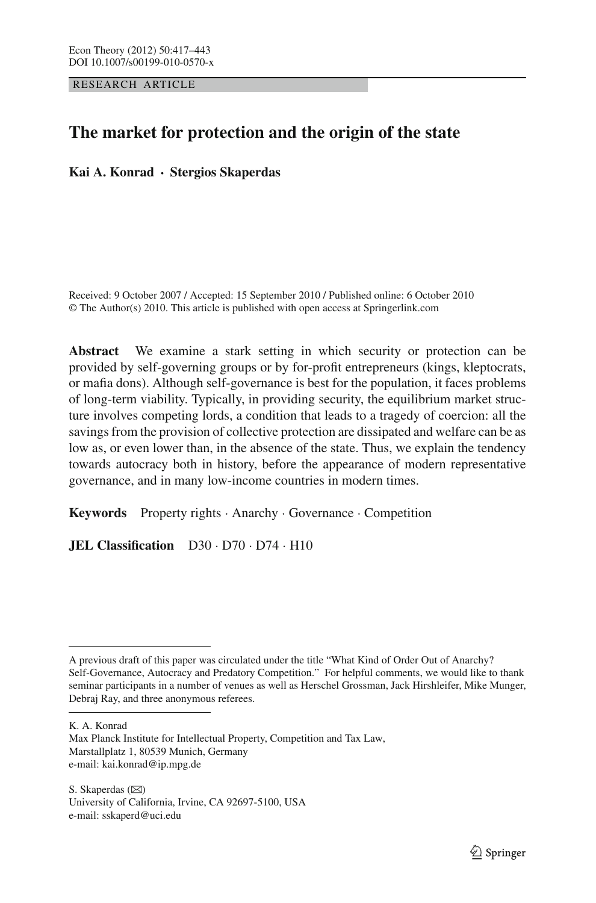RESEARCH ARTICLE

# **The market for protection and the origin of the state**

**Kai A. Konrad · Stergios Skaperdas**

Received: 9 October 2007 / Accepted: 15 September 2010 / Published online: 6 October 2010 © The Author(s) 2010. This article is published with open access at Springerlink.com

**Abstract** We examine a stark setting in which security or protection can be provided by self-governing groups or by for-profit entrepreneurs (kings, kleptocrats, or mafia dons). Although self-governance is best for the population, it faces problems of long-term viability. Typically, in providing security, the equilibrium market structure involves competing lords, a condition that leads to a tragedy of coercion: all the savings from the provision of collective protection are dissipated and welfare can be as low as, or even lower than, in the absence of the state. Thus, we explain the tendency towards autocracy both in history, before the appearance of modern representative governance, and in many low-income countries in modern times.

**Keywords** Property rights · Anarchy · Governance · Competition

**JEL Classification** D30 · D70 · D74 · H10

K. A. Konrad

A previous draft of this paper was circulated under the title "What Kind of Order Out of Anarchy? Self-Governance, Autocracy and Predatory Competition." For helpful comments, we would like to thank seminar participants in a number of venues as well as Herschel Grossman, Jack Hirshleifer, Mike Munger, Debraj Ray, and three anonymous referees.

Max Planck Institute for Intellectual Property, Competition and Tax Law, Marstallplatz 1, 80539 Munich, Germany e-mail: kai.konrad@ip.mpg.de

S. Skaperdas (⊠) University of California, Irvine, CA 92697-5100, USA e-mail: sskaperd@uci.edu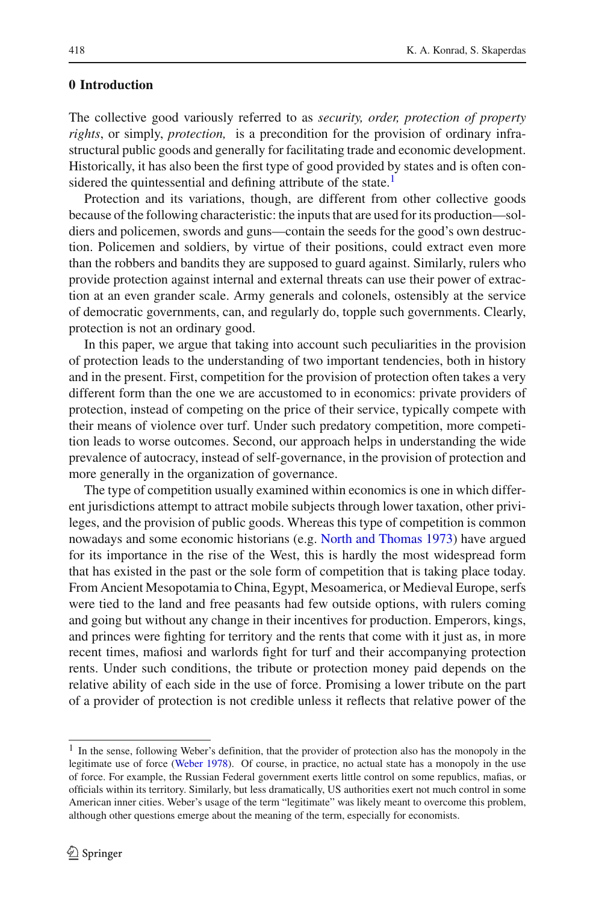# **0 Introduction**

The collective good variously referred to as *security, order, protection of property rights*, or simply, *protection,* is a precondition for the provision of ordinary infrastructural public goods and generally for facilitating trade and economic development. Historically, it has also been the first type of good provided by states and is often considered the quintessential and defining attribute of the state.<sup>1</sup>

Protection and its variations, though, are different from other collective goods because of the following characteristic: the inputs that are used for its production—soldiers and policemen, swords and guns—contain the seeds for the good's own destruction. Policemen and soldiers, by virtue of their positions, could extract even more than the robbers and bandits they are supposed to guard against. Similarly, rulers who provide protection against internal and external threats can use their power of extraction at an even grander scale. Army generals and colonels, ostensibly at the service of democratic governments, can, and regularly do, topple such governments. Clearly, protection is not an ordinary good.

In this paper, we argue that taking into account such peculiarities in the provision of protection leads to the understanding of two important tendencies, both in history and in the present. First, competition for the provision of protection often takes a very different form than the one we are accustomed to in economics: private providers of protection, instead of competing on the price of their service, typically compete with their means of violence over turf. Under such predatory competition, more competition leads to worse outcomes. Second, our approach helps in understanding the wide prevalence of autocracy, instead of self-governance, in the provision of protection and more generally in the organization of governance.

The type of competition usually examined within economics is one in which different jurisdictions attempt to attract mobile subjects through lower taxation, other privileges, and the provision of public goods. Whereas this type of competition is common nowadays and some economic historians (e.g. [North and Thomas 1973](#page-26-0)) have argued for its importance in the rise of the West, this is hardly the most widespread form that has existed in the past or the sole form of competition that is taking place today. From Ancient Mesopotamia to China, Egypt, Mesoamerica, or Medieval Europe, serfs were tied to the land and free peasants had few outside options, with rulers coming and going but without any change in their incentives for production. Emperors, kings, and princes were fighting for territory and the rents that come with it just as, in more recent times, mafiosi and warlords fight for turf and their accompanying protection rents. Under such conditions, the tribute or protection money paid depends on the relative ability of each side in the use of force. Promising a lower tribute on the part of a provider of protection is not credible unless it reflects that relative power of the

<span id="page-1-0"></span> $<sup>1</sup>$  In the sense, following Weber's definition, that the provider of protection also has the monopoly in the</sup> legitimate use of force [\(Weber 1978](#page-26-1)). Of course, in practice, no actual state has a monopoly in the use of force. For example, the Russian Federal government exerts little control on some republics, mafias, or officials within its territory. Similarly, but less dramatically, US authorities exert not much control in some American inner cities. Weber's usage of the term "legitimate" was likely meant to overcome this problem, although other questions emerge about the meaning of the term, especially for economists.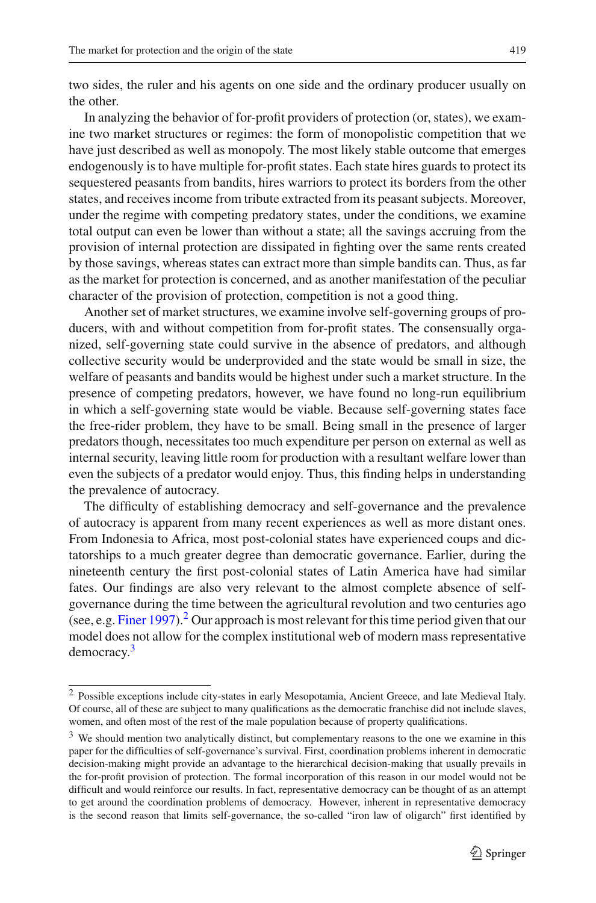two sides, the ruler and his agents on one side and the ordinary producer usually on the other.

In analyzing the behavior of for-profit providers of protection (or, states), we examine two market structures or regimes: the form of monopolistic competition that we have just described as well as monopoly. The most likely stable outcome that emerges endogenously is to have multiple for-profit states. Each state hires guards to protect its sequestered peasants from bandits, hires warriors to protect its borders from the other states, and receives income from tribute extracted from its peasant subjects. Moreover, under the regime with competing predatory states, under the conditions, we examine total output can even be lower than without a state; all the savings accruing from the provision of internal protection are dissipated in fighting over the same rents created by those savings, whereas states can extract more than simple bandits can. Thus, as far as the market for protection is concerned, and as another manifestation of the peculiar character of the provision of protection, competition is not a good thing.

Another set of market structures, we examine involve self-governing groups of producers, with and without competition from for-profit states. The consensually organized, self-governing state could survive in the absence of predators, and although collective security would be underprovided and the state would be small in size, the welfare of peasants and bandits would be highest under such a market structure. In the presence of competing predators, however, we have found no long-run equilibrium in which a self-governing state would be viable. Because self-governing states face the free-rider problem, they have to be small. Being small in the presence of larger predators though, necessitates too much expenditure per person on external as well as internal security, leaving little room for production with a resultant welfare lower than even the subjects of a predator would enjoy. Thus, this finding helps in understanding the prevalence of autocracy.

The difficulty of establishing democracy and self-governance and the prevalence of autocracy is apparent from many recent experiences as well as more distant ones. From Indonesia to Africa, most post-colonial states have experienced coups and dictatorships to a much greater degree than democratic governance. Earlier, during the nineteenth century the first post-colonial states of Latin America have had similar fates. Our findings are also very relevant to the almost complete absence of selfgovernance during the time between the agricultural revolution and two centuries ago (see, e.g. [Finer 1997](#page-25-0)).<sup>[2](#page-2-0)</sup> Our approach is most relevant for this time period given that our model does not allow for the complex institutional web of modern mass representative democracy.[3](#page-2-1)

<span id="page-2-0"></span><sup>2</sup> Possible exceptions include city-states in early Mesopotamia, Ancient Greece, and late Medieval Italy. Of course, all of these are subject to many qualifications as the democratic franchise did not include slaves, women, and often most of the rest of the male population because of property qualifications.

<span id="page-2-1"></span><sup>&</sup>lt;sup>3</sup> We should mention two analytically distinct, but complementary reasons to the one we examine in this paper for the difficulties of self-governance's survival. First, coordination problems inherent in democratic decision-making might provide an advantage to the hierarchical decision-making that usually prevails in the for-profit provision of protection. The formal incorporation of this reason in our model would not be difficult and would reinforce our results. In fact, representative democracy can be thought of as an attempt to get around the coordination problems of democracy. However, inherent in representative democracy is the second reason that limits self-governance, the so-called "iron law of oligarch" first identified by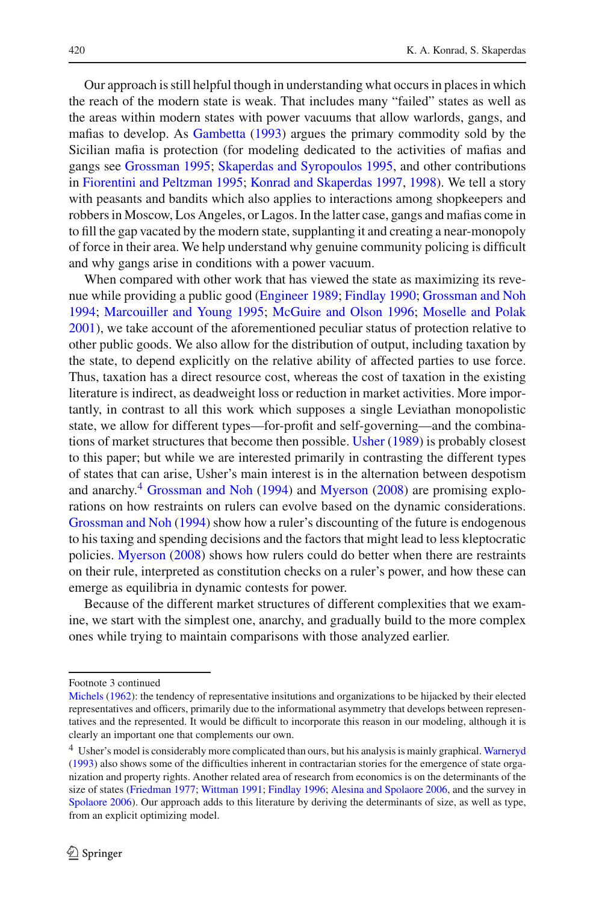Our approach is still helpful though in understanding what occurs in places in which the reach of the modern state is weak. That includes many "failed" states as well as the areas within modern states with power vacuums that allow warlords, gangs, and mafias to develop. As [Gambetta](#page-25-1) [\(1993\)](#page-25-1) argues the primary commodity sold by the Sicilian mafia is protection (for modeling dedicated to the activities of mafias and gangs see [Grossman 1995](#page-25-2); [Skaperdas and Syropoulos 1995,](#page-26-2) and other contributions in [Fiorentini and Peltzman 1995](#page-25-3); [Konrad and Skaperdas 1997](#page-25-4), [1998\)](#page-25-5). We tell a story with peasants and bandits which also applies to interactions among shopkeepers and robbers in Moscow, Los Angeles, or Lagos. In the latter case, gangs and mafias come in to fill the gap vacated by the modern state, supplanting it and creating a near-monopoly of force in their area. We help understand why genuine community policing is difficult and why gangs arise in conditions with a power vacuum.

When compared with other work that has viewed the state as maximizing its revenue while providing a public good [\(Engineer 1989](#page-25-6); [Findlay 1990;](#page-25-7) [Grossman and Noh](#page-25-8) [1994;](#page-25-8) [Marcouiller and Young 1995;](#page-25-9) [McGuire and Olson 1996;](#page-25-10) [Moselle and Polak](#page-25-11) [2001\)](#page-25-11), we take account of the aforementioned peculiar status of protection relative to other public goods. We also allow for the distribution of output, including taxation by the state, to depend explicitly on the relative ability of affected parties to use force. Thus, taxation has a direct resource cost, whereas the cost of taxation in the existing literature is indirect, as deadweight loss or reduction in market activities. More importantly, in contrast to all this work which supposes a single Leviathan monopolistic state, we allow for different types—for-profit and self-governing—and the combinations of market structures that become then possible. [Usher](#page-26-3) [\(1989](#page-26-3)) is probably closest to this paper; but while we are interested primarily in contrasting the different types of states that can arise, Usher's main interest is in the alternation between despotism and anarchy.<sup>4</sup> [Grossman and Noh](#page-25-8) [\(1994\)](#page-25-8) and [Myerson](#page-26-4) [\(2008\)](#page-26-4) are promising explorations on how restraints on rulers can evolve based on the dynamic considerations. [Grossman and Noh](#page-25-8) [\(1994\)](#page-25-8) show how a ruler's discounting of the future is endogenous to his taxing and spending decisions and the factors that might lead to less kleptocratic policies. [Myerson](#page-26-4) [\(2008](#page-26-4)) shows how rulers could do better when there are restraints on their rule, interpreted as constitution checks on a ruler's power, and how these can emerge as equilibria in dynamic contests for power.

Because of the different market structures of different complexities that we examine, we start with the simplest one, anarchy, and gradually build to the more complex ones while trying to maintain comparisons with those analyzed earlier.

Footnote 3 continued

[Michels](#page-25-12) [\(1962\)](#page-25-12): the tendency of representative insitutions and organizations to be hijacked by their elected representatives and officers, primarily due to the informational asymmetry that develops between representatives and the represented. It would be difficult to incorporate this reason in our modeling, although it is clearly an important one that complements our own.

<span id="page-3-0"></span><sup>&</sup>lt;sup>4</sup> Usher's model is considerably more complicated than ours, but his analysis is mainly graphical. [Warneryd](#page-26-5) [\(1993](#page-26-5)) also shows some of the difficulties inherent in contractarian stories for the emergence of state organization and property rights. Another related area of research from economics is on the determinants of the size of states [\(Friedman 1977](#page-25-13); [Wittman 1991;](#page-26-6) [Findlay 1996](#page-25-14); [Alesina and Spolaore 2006](#page-25-15), and the survey in [Spolaore 2006](#page-26-7)). Our approach adds to this literature by deriving the determinants of size, as well as type, from an explicit optimizing model.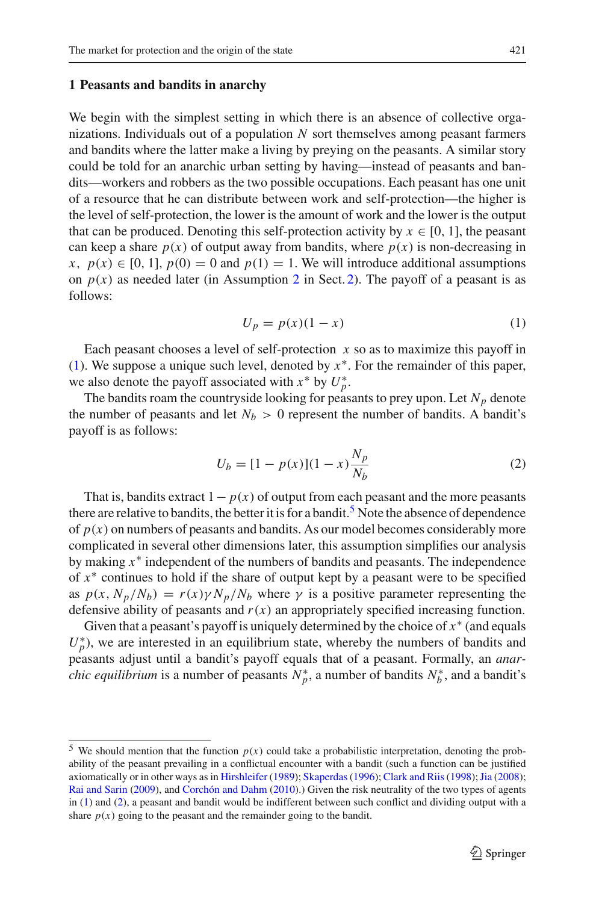#### <span id="page-4-3"></span>**1 Peasants and bandits in anarchy**

We begin with the simplest setting in which there is an absence of collective organizations. Individuals out of a population *N* sort themselves among peasant farmers and bandits where the latter make a living by preying on the peasants. A similar story could be told for an anarchic urban setting by having—instead of peasants and bandits—workers and robbers as the two possible occupations. Each peasant has one unit of a resource that he can distribute between work and self-protection—the higher is the level of self-protection, the lower is the amount of work and the lower is the output that can be produced. Denoting this self-protection activity by  $x \in [0, 1]$ , the peasant can keep a share  $p(x)$  of output away from bandits, where  $p(x)$  is non-decreasing in *x*, *p*(*x*) ∈ [0, 1], *p*(0) = 0 and *p*(1) = 1. We will introduce additional assumptions on  $p(x)$  as needed later (in Assumption [2](#page-6-0) in Sect. [2\)](#page-5-0). The payoff of a peasant is as follows:

$$
U_p = p(x)(1 - x) \tag{1}
$$

<span id="page-4-0"></span>Each peasant chooses a level of self-protection *x* so as to maximize this payoff in [\(1\)](#page-4-0). We suppose a unique such level, denoted by *x*∗. For the remainder of this paper, we also denote the payoff associated with  $x^*$  by  $U_p^*$ .

The bandits roam the countryside looking for peasants to prey upon. Let  $N_p$  denote the number of peasants and let  $N_b > 0$  represent the number of bandits. A bandit's payoff is as follows:

$$
U_b = [1 - p(x)](1 - x)\frac{N_p}{N_b}
$$
 (2)

<span id="page-4-2"></span>That is, bandits extract  $1 - p(x)$  of output from each peasant and the more peasants there are relative to bandits, the better it is for a bandit.<sup>5</sup> Note the absence of dependence of  $p(x)$  on numbers of peasants and bandits. As our model becomes considerably more complicated in several other dimensions later, this assumption simplifies our analysis by making *x*<sup>∗</sup> independent of the numbers of bandits and peasants. The independence of *x*<sup>∗</sup> continues to hold if the share of output kept by a peasant were to be specified as  $p(x, N_p/N_b) = r(x) \gamma N_p/N_b$  where  $\gamma$  is a positive parameter representing the defensive ability of peasants and  $r(x)$  an appropriately specified increasing function.

Given that a peasant's payoff is uniquely determined by the choice of  $x^*$  (and equals  $U_p^*$ ), we are interested in an equilibrium state, whereby the numbers of bandits and peasants adjust until a bandit's payoff equals that of a peasant. Formally, an *anarchic equilibrium* is a number of peasants  $N_p^*$ , a number of bandits  $N_b^*$ , and a bandit's

<span id="page-4-1"></span><sup>&</sup>lt;sup>5</sup> We should mention that the function  $p(x)$  could take a probabilistic interpretation, denoting the probability of the peasant prevailing in a conflictual encounter with a bandit (such a function can be justified axiomatically or in other ways as in [Hirshleifer](#page-25-16) [\(1989](#page-25-16)); Skaperdas (1996); Clark and Riis (1998); [Jia](#page-25-18) [\(2008](#page-25-18)); [Rai and Sarin](#page-26-9) [\(2009\)](#page-26-9), and [Corchón and Dahm](#page-25-19) [\(2010\)](#page-25-19).) Given the risk neutrality of the two types of agents in [\(1\)](#page-4-0) and [\(2\)](#page-4-2), a peasant and bandit would be indifferent between such conflict and dividing output with a share  $p(x)$  going to the peasant and the remainder going to the bandit.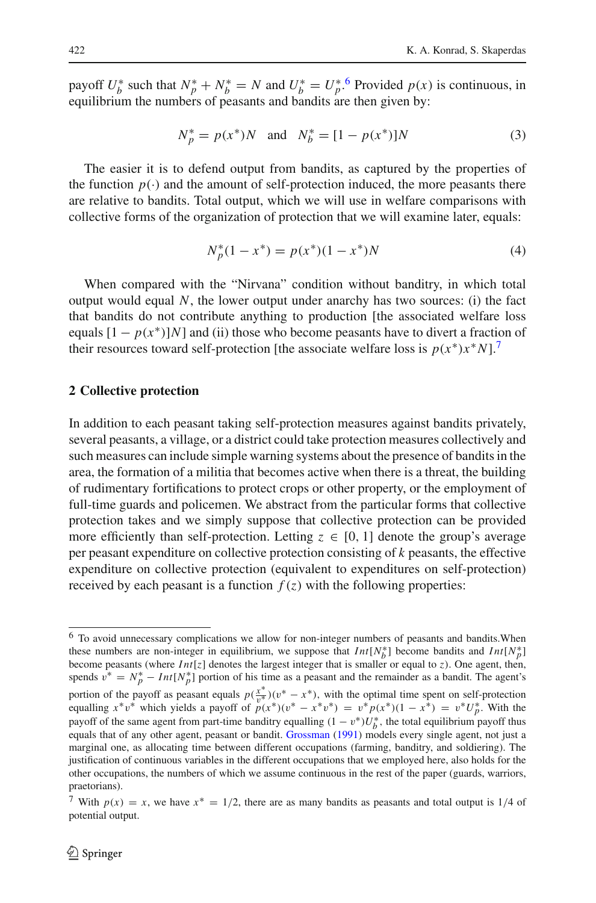payoff  $U_b^*$  such that  $N_p^* + N_b^* = N$  and  $U_b^* = U_p^*$ . Provided  $p(x)$  is continuous, in equilibrium the numbers of peasants and bandits are then given by:

$$
N_p^* = p(x^*)N \text{ and } N_b^* = [1 - p(x^*)]N
$$
 (3)

The easier it is to defend output from bandits, as captured by the properties of the function  $p(\cdot)$  and the amount of self-protection induced, the more peasants there are relative to bandits. Total output, which we will use in welfare comparisons with collective forms of the organization of protection that we will examine later, equals:

$$
N_p^*(1 - x^*) = p(x^*)(1 - x^*)N
$$
\n(4)

When compared with the "Nirvana" condition without banditry, in which total output would equal  $N$ , the lower output under anarchy has two sources: (i) the fact that bandits do not contribute anything to production [the associated welfare loss equals  $[1 - p(x^*)]N]$  and (ii) those who become peasants have to divert a fraction of their resources toward self-protection [the associate welfare loss is  $p(x^*)x^*N$ ].<sup>[7](#page-5-2)</sup>

### <span id="page-5-0"></span>**2 Collective protection**

In addition to each peasant taking self-protection measures against bandits privately, several peasants, a village, or a district could take protection measures collectively and such measures can include simple warning systems about the presence of bandits in the area, the formation of a militia that becomes active when there is a threat, the building of rudimentary fortifications to protect crops or other property, or the employment of full-time guards and policemen. We abstract from the particular forms that collective protection takes and we simply suppose that collective protection can be provided more efficiently than self-protection. Letting  $z \in [0, 1]$  denote the group's average per peasant expenditure on collective protection consisting of *k* peasants, the effective expenditure on collective protection (equivalent to expenditures on self-protection) received by each peasant is a function  $f(z)$  with the following properties:

<span id="page-5-3"></span><span id="page-5-1"></span><sup>6</sup> To avoid unnecessary complications we allow for non-integer numbers of peasants and bandits.When these numbers are non-integer in equilibrium, we suppose that  $Int[N_b^*]$  become bandits and  $Int[N_p^*]$ become peasants (where *Int*[*z*] denotes the largest integer that is smaller or equal to *z*). One agent, then, spends  $v^* = N_p^* - Int[N_p^*]$  portion of his time as a peasant and the remainder as a bandit. The agent's portion of the payoff as peasant equals  $p(x^*)$  ( $v^* - x^*$ ), with the optimal time spent on self-protection equalling  $x^*v^*$  which yields a payoff of  $p(x^*)(v^* - x^*v^*) = v^*p(x^*)(1 - x^*) = v^*U_p^*$ . With the payoff of the same agent from part-time banditry equalling  $(1 - v^*)U_b^*$ , the total equilibrium payoff thus equals that of any other agent, peasant or bandit. [Grossman](#page-25-20) [\(1991](#page-25-20)) models every single agent, not just a marginal one, as allocating time between different occupations (farming, banditry, and soldiering). The justification of continuous variables in the different occupations that we employed here, also holds for the other occupations, the numbers of which we assume continuous in the rest of the paper (guards, warriors, praetorians).

<span id="page-5-2"></span><sup>&</sup>lt;sup>7</sup> With  $p(x) = x$ , we have  $x^* = 1/2$ , there are as many bandits as peasants and total output is 1/4 of potential output.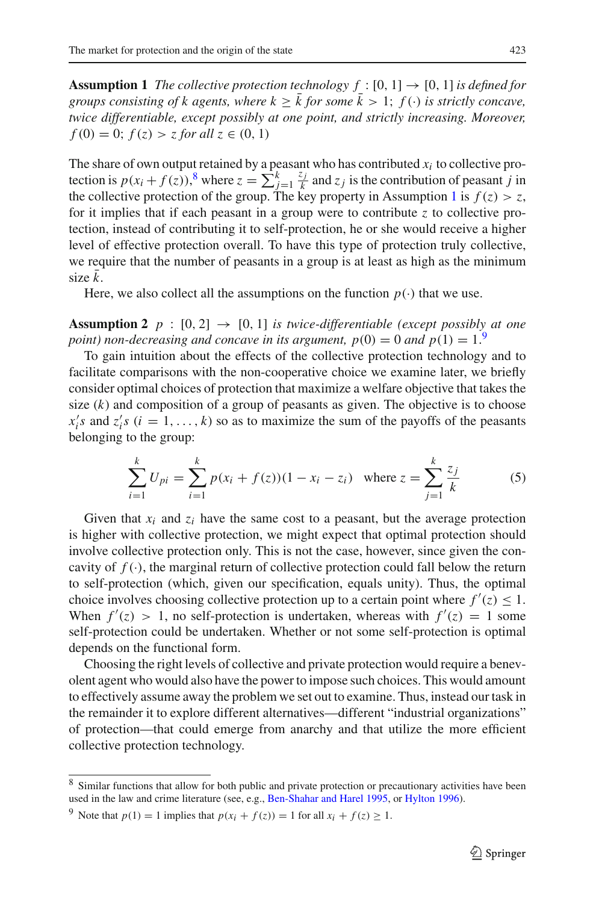**Assumption 1** *The collective protection technology*  $f : [0, 1] \rightarrow [0, 1]$  *is defined for groups consisting of k agents, where*  $k > \overline{k}$  *for some*  $\overline{k} > 1$ *;*  $f(\cdot)$  *is strictly concave, twice differentiable, except possibly at one point, and strictly increasing. Moreover,*  $f(0) = 0$ ;  $f(z) > z$  *for all*  $z \in (0, 1)$ 

The share of own output retained by a peasant who has contributed  $x_i$  to collective protection is  $p(x_i + f(z))$ , <sup>[8](#page-6-1)</sup> where  $z = \sum_{j=1}^{k} \frac{z_j}{k}$  and  $z_j$  is the contribution of peasant *j* in the collective protection of the group. The key property in Assumption [1](#page-5-3) is  $f(z) > z$ , for it implies that if each peasant in a group were to contribute *z* to collective protection, instead of contributing it to self-protection, he or she would receive a higher level of effective protection overall. To have this type of protection truly collective, we require that the number of peasants in a group is at least as high as the minimum size *k*¯.

Here, we also collect all the assumptions on the function  $p(\cdot)$  that we use.

<span id="page-6-0"></span>**Assumption 2**  $p : [0, 2] \rightarrow [0, 1]$  *is twice-differentiable (except possibly at one point)* non-decreasing and concave in its argument,  $p(0) = 0$  and  $p(1) = 1$ .

To gain intuition about the effects of the collective protection technology and to facilitate comparisons with the non-cooperative choice we examine later, we briefly consider optimal choices of protection that maximize a welfare objective that takes the size  $(k)$  and composition of a group of peasants as given. The objective is to choose  $x_i$ '*s* and  $z_i$ '*s* (*i* = 1, ..., *k*) so as to maximize the sum of the payoffs of the peasants belonging to the group:

$$
\sum_{i=1}^{k} U_{pi} = \sum_{i=1}^{k} p(x_i + f(z))(1 - x_i - z_i) \text{ where } z = \sum_{j=1}^{k} \frac{z_j}{k}
$$
 (5)

Given that  $x_i$  and  $z_i$  have the same cost to a peasant, but the average protection is higher with collective protection, we might expect that optimal protection should involve collective protection only. This is not the case, however, since given the concavity of  $f(.)$ , the marginal return of collective protection could fall below the return to self-protection (which, given our specification, equals unity). Thus, the optimal choice involves choosing collective protection up to a certain point where  $f'(z) \leq 1$ . When  $f'(z) > 1$ , no self-protection is undertaken, whereas with  $f'(z) = 1$  some self-protection could be undertaken. Whether or not some self-protection is optimal depends on the functional form.

Choosing the right levels of collective and private protection would require a benevolent agent who would also have the power to impose such choices. This would amount to effectively assume away the problem we set out to examine. Thus, instead our task in the remainder it to explore different alternatives—different "industrial organizations" of protection—that could emerge from anarchy and that utilize the more efficient collective protection technology.

<span id="page-6-1"></span><sup>&</sup>lt;sup>8</sup> Similar functions that allow for both public and private protection or precautionary activities have been used in the law and crime literature (see, e.g., [Ben-Shahar and Harel 1995](#page-25-21), or [Hylton 1996\)](#page-25-22).

<span id="page-6-2"></span><sup>&</sup>lt;sup>9</sup> Note that  $p(1) = 1$  implies that  $p(x_i + f(z)) = 1$  for all  $x_i + f(z) \ge 1$ .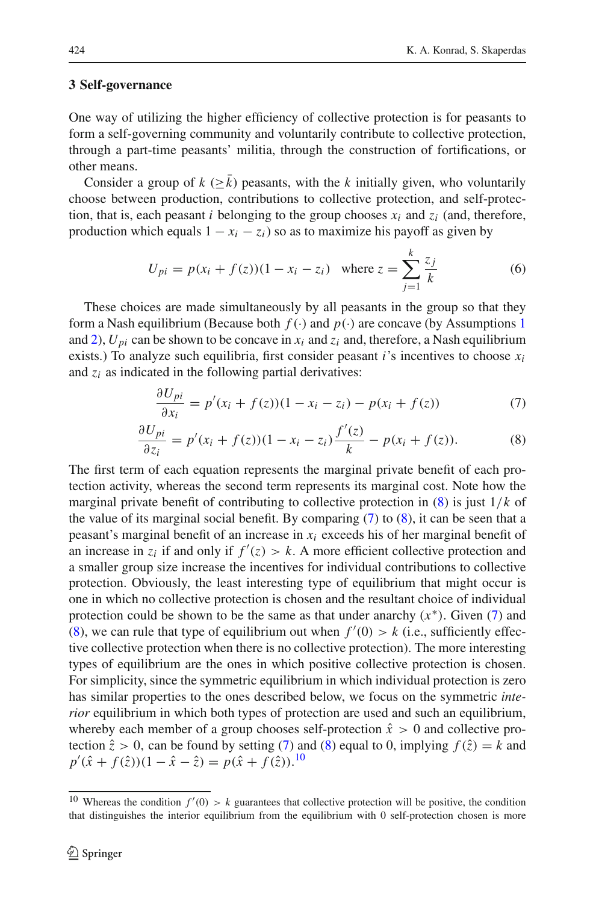## **3 Self-governance**

One way of utilizing the higher efficiency of collective protection is for peasants to form a self-governing community and voluntarily contribute to collective protection, through a part-time peasants' militia, through the construction of fortifications, or other means.

Consider a group of  $k$  ( $\geq \overline{k}$ ) peasants, with the *k* initially given, who voluntarily choose between production, contributions to collective protection, and self-protection, that is, each peasant *i* belonging to the group chooses  $x_i$  and  $z_i$  (and, therefore, production which equals  $1 - x_i - z_i$  so as to maximize his payoff as given by

$$
U_{pi} = p(x_i + f(z))(1 - x_i - z_i) \text{ where } z = \sum_{j=1}^{k} \frac{z_j}{k}
$$
 (6)

<span id="page-7-2"></span>These choices are made simultaneously by all peasants in the group so that they form a Nash equilibrium (Because both  $f(\cdot)$  and  $p(\cdot)$  are concave (by Assumptions [1](#page-5-3)) and [2\)](#page-6-0),  $U_{pi}$  can be shown to be concave in  $x_i$  and  $z_i$  and, therefore, a Nash equilibrium exists.) To analyze such equilibria, first consider peasant *i*'s incentives to choose  $x_i$ and *zi* as indicated in the following partial derivatives:

$$
\frac{\partial U_{pi}}{\partial x_i} = p'(x_i + f(z))(1 - x_i - z_i) - p(x_i + f(z)) \tag{7}
$$

$$
\frac{\partial U_{pi}}{\partial z_i} = p'(x_i + f(z))(1 - x_i - z_i) \frac{f'(z)}{k} - p(x_i + f(z)).\tag{8}
$$

<span id="page-7-0"></span>The first term of each equation represents the marginal private benefit of each protection activity, whereas the second term represents its marginal cost. Note how the marginal private benefit of contributing to collective protection in [\(8\)](#page-7-0) is just 1/*k* of the value of its marginal social benefit. By comparing  $(7)$  to  $(8)$ , it can be seen that a peasant's marginal benefit of an increase in *xi* exceeds his of her marginal benefit of an increase in  $z_i$  if and only if  $f'(z) > k$ . A more efficient collective protection and a smaller group size increase the incentives for individual contributions to collective protection. Obviously, the least interesting type of equilibrium that might occur is one in which no collective protection is chosen and the resultant choice of individual protection could be shown to be the same as that under anarchy  $(x^*)$ . Given [\(7\)](#page-7-0) and [\(8\)](#page-7-0), we can rule that type of equilibrium out when  $f'(0) > k$  (i.e., sufficiently effective collective protection when there is no collective protection). The more interesting types of equilibrium are the ones in which positive collective protection is chosen. For simplicity, since the symmetric equilibrium in which individual protection is zero has similar properties to the ones described below, we focus on the symmetric *interior* equilibrium in which both types of protection are used and such an equilibrium, whereby each member of a group chooses self-protection  $\hat{x} > 0$  and collective protection  $\hat{z} > 0$ , can be found by setting [\(7\)](#page-7-0) and [\(8\)](#page-7-0) equal to 0, implying  $f(\hat{z}) = k$  and  $p'(\hat{x} + f(\hat{z}))(1 - \hat{x} - \hat{z}) = p(\hat{x} + f(\hat{z})).$ <sup>[10](#page-7-1)</sup>

<span id="page-7-1"></span><sup>&</sup>lt;sup>10</sup> Whereas the condition  $f'(0) > k$  guarantees that collective protection will be positive, the condition that distinguishes the interior equilibrium from the equilibrium with 0 self-protection chosen is more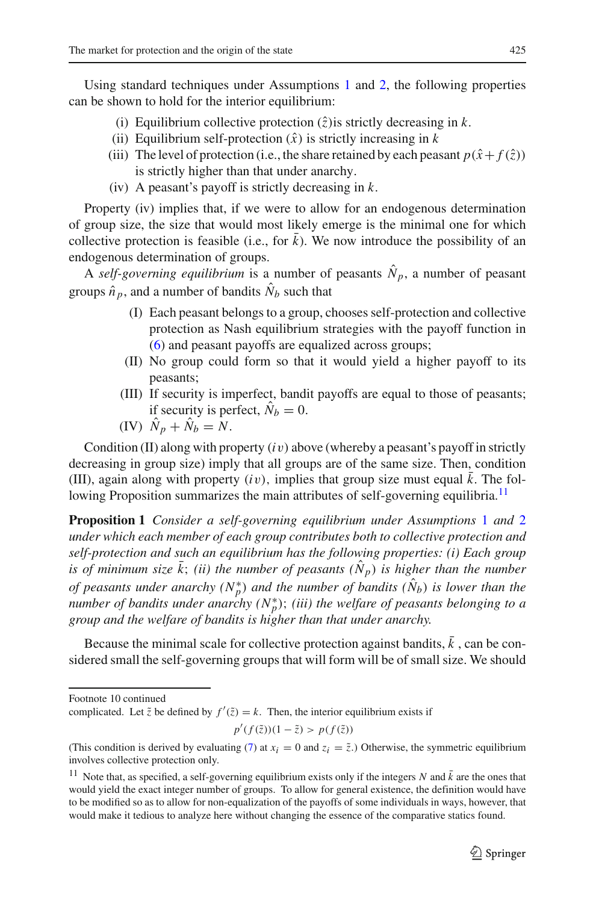Using standard techniques under Assumptions [1](#page-5-3) and [2,](#page-6-0) the following properties can be shown to hold for the interior equilibrium:

- (i) Equilibrium collective protection  $(\hat{z})$  is strictly decreasing in  $k$ .
- (ii) Equilibrium self-protection  $(\hat{x})$  is strictly increasing in *k*
- (iii) The level of protection (i.e., the share retained by each peasant  $p(\hat{x} + f(\hat{z}))$ is strictly higher than that under anarchy.
- (iv) A peasant's payoff is strictly decreasing in *k*.

Property (iv) implies that, if we were to allow for an endogenous determination of group size, the size that would most likely emerge is the minimal one for which collective protection is feasible (i.e., for  $\bar{k}$ ). We now introduce the possibility of an endogenous determination of groups.

A *self-governing equilibrium* is a number of peasants  $\hat{N}_p$ , a number of peasant groups  $\hat{n}_p$ , and a number of bandits  $\hat{N}_b$  such that

- (I) Each peasant belongs to a group, chooses self-protection and collective protection as Nash equilibrium strategies with the payoff function in [\(6\)](#page-7-2) and peasant payoffs are equalized across groups;
- (II) No group could form so that it would yield a higher payoff to its peasants;
- (III) If security is imperfect, bandit payoffs are equal to those of peasants; if security is perfect,  $\hat{N}_b = 0$ .
- $(N)$   $\hat{N}_p + \hat{N}_p = N$ .

Condition (II) along with property (*i*v) above (whereby a peasant's payoff in strictly decreasing in group size) imply that all groups are of the same size. Then, condition (III), again along with property  $(iv)$ , implies that group size must equal  $\bar{k}$ . The fol-lowing Proposition summarizes the main attributes of self-governing equilibria.<sup>[11](#page-8-0)</sup>

**Proposition 1** *Consider a self-governing equilibrium under Assumptions* [1](#page-5-3) *and* [2](#page-6-0) *under which each member of each group contributes both to collective protection and self-protection and such an equilibrium has the following properties: (i) Each group is of minimum size*  $\bar{k}$ ; *(ii) the number of peasants*  $(\hat{N}_p)$  *is higher than the number of peasants under anarchy*  $(N_p^*)$  *and the number of bandits*  $(\hat{N}_b)$  *is lower than the number of bandits under anarchy (N*<sup>∗</sup> *<sup>p</sup>*); *(iii) the welfare of peasants belonging to a group and the welfare of bandits is higher than that under anarchy.*

Because the minimal scale for collective protection against bandits,  $\overline{k}$ , can be considered small the self-governing groups that will form will be of small size. We should

Footnote 10 continued

```
complicated. Let \tilde{z} be defined by f'(\tilde{z}) = k. Then, the interior equilibrium exists if
```
 $p'(f(\tilde{z}))(1-\tilde{z}) > p(f(\tilde{z}))$ 

<sup>(</sup>This condition is derived by evaluating [\(7\)](#page-7-0) at  $x_i = 0$  and  $z_i = \tilde{z}$ .) Otherwise, the symmetric equilibrium involves collective protection only.

<span id="page-8-0"></span><sup>&</sup>lt;sup>11</sup> Note that, as specified, a self-governing equilibrium exists only if the integers *N* and  $\bar{k}$  are the ones that would yield the exact integer number of groups. To allow for general existence, the definition would have to be modified so as to allow for non-equalization of the payoffs of some individuals in ways, however, that would make it tedious to analyze here without changing the essence of the comparative statics found.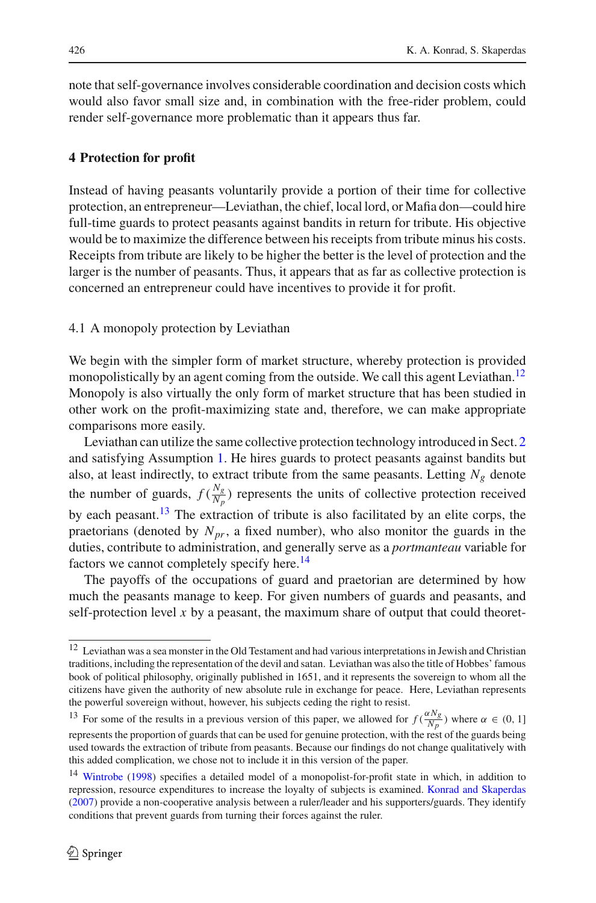note that self-governance involves considerable coordination and decision costs which would also favor small size and, in combination with the free-rider problem, could render self-governance more problematic than it appears thus far.

# **4 Protection for profit**

Instead of having peasants voluntarily provide a portion of their time for collective protection, an entrepreneur—Leviathan, the chief, local lord, or Mafia don—could hire full-time guards to protect peasants against bandits in return for tribute. His objective would be to maximize the difference between his receipts from tribute minus his costs. Receipts from tribute are likely to be higher the better is the level of protection and the larger is the number of peasants. Thus, it appears that as far as collective protection is concerned an entrepreneur could have incentives to provide it for profit.

### 4.1 A monopoly protection by Leviathan

We begin with the simpler form of market structure, whereby protection is provided monopolistically by an agent coming from the outside. We call this agent Leviathan.<sup>12</sup> Monopoly is also virtually the only form of market structure that has been studied in other work on the profit-maximizing state and, therefore, we can make appropriate comparisons more easily.

Leviathan can utilize the same collective protection technology introduced in Sect. [2](#page-5-0) and satisfying Assumption [1.](#page-5-3) He hires guards to protect peasants against bandits but also, at least indirectly, to extract tribute from the same peasants. Letting  $N_g$  denote the number of guards,  $f(\frac{N_g}{N_p})$  represents the units of collective protection received by each peasant.<sup>[13](#page-9-1)</sup> The extraction of tribute is also facilitated by an elite corps, the praetorians (denoted by  $N_{pr}$ , a fixed number), who also monitor the guards in the duties, contribute to administration, and generally serve as a *portmanteau* variable for factors we cannot completely specify here.<sup>14</sup>

The payoffs of the occupations of guard and praetorian are determined by how much the peasants manage to keep. For given numbers of guards and peasants, and self-protection level  $x$  by a peasant, the maximum share of output that could theoret-

<span id="page-9-1"></span><sup>13</sup> For some of the results in a previous version of this paper, we allowed for  $f(\frac{\alpha N_g}{N_p})$  where  $\alpha \in (0, 1]$ represents the proportion of guards that can be used for genuine protection, with the rest of the guards being used towards the extraction of tribute from peasants. Because our findings do not change qualitatively with this added complication, we chose not to include it in this version of the paper.

<span id="page-9-0"></span><sup>&</sup>lt;sup>12</sup> Leviathan was a sea monster in the Old Testament and had various interpretations in Jewish and Christian traditions, including the representation of the devil and satan. Leviathan was also the title of Hobbes' famous book of political philosophy, originally published in 1651, and it represents the sovereign to whom all the citizens have given the authority of new absolute rule in exchange for peace. Here, Leviathan represents the powerful sovereign without, however, his subjects ceding the right to resist.

<span id="page-9-2"></span><sup>&</sup>lt;sup>14</sup> [Wintrobe](#page-26-10) [\(1998](#page-26-10)) specifies a detailed model of a monopolist-for-profit state in which, in addition to repression, resource expenditures to increase the loyalty of subjects is examined. [Konrad and Skaperdas](#page-25-23) [\(2007](#page-25-23)) provide a non-cooperative analysis between a ruler/leader and his supporters/guards. They identify conditions that prevent guards from turning their forces against the ruler.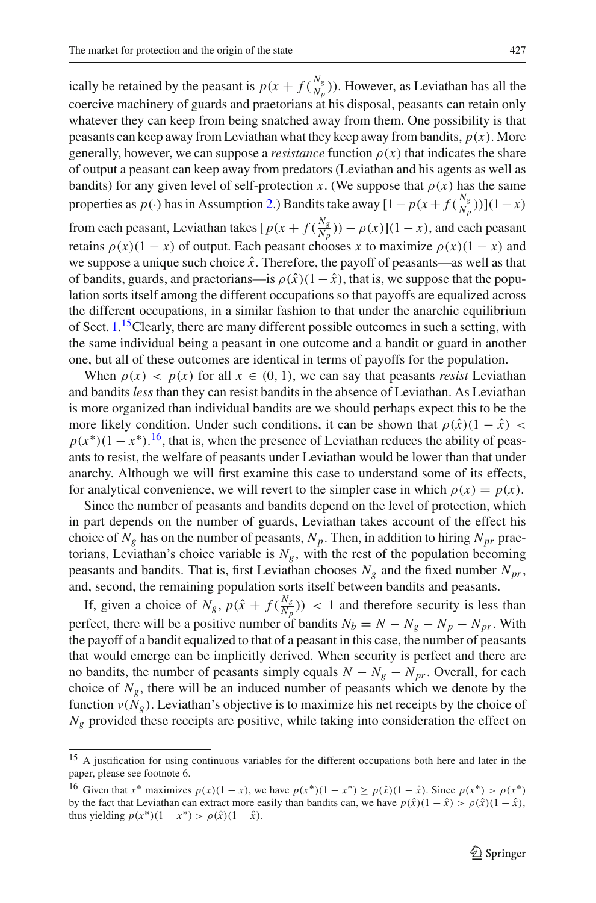ically be retained by the peasant is  $p(x + f(\frac{N_g}{N_p}))$ . However, as Leviathan has all the coercive machinery of guards and praetorians at his disposal, peasants can retain only whatever they can keep from being snatched away from them. One possibility is that peasants can keep away from Leviathan what they keep away from bandits,  $p(x)$ . More generally, however, we can suppose a *resistance* function  $\rho(x)$  that indicates the share of output a peasant can keep away from predators (Leviathan and his agents as well as bandits) for any given level of self-protection *x*. (We suppose that  $\rho(x)$  has the same properties as  $p(\cdot)$  has in Assumption [2.](#page-6-0)) Bandits take away  $[1 - p(x + f(\frac{N_g}{N_p}))](1 - x)$ from each peasant, Leviathan takes  $[p(x + f(\frac{N_g}{N_p})) - \rho(x)](1 - x)$ , and each peasant retains  $\rho(x)(1-x)$  of output. Each peasant chooses x to maximize  $\rho(x)(1-x)$  and we suppose a unique such choice  $\hat{x}$ . Therefore, the payoff of peasants—as well as that of bandits, guards, and praetorians—is  $\rho(\hat{x})(1-\hat{x})$ , that is, we suppose that the population sorts itself among the different occupations so that payoffs are equalized across the different occupations, in a similar fashion to that under the anarchic equilibrium of Sect. [1.](#page-4-3)<sup>15</sup>Clearly, there are many different possible outcomes in such a setting, with the same individual being a peasant in one outcome and a bandit or guard in another one, but all of these outcomes are identical in terms of payoffs for the population.

When  $\rho(x) < p(x)$  for all  $x \in (0, 1)$ , we can say that peasants *resist* Leviathan and bandits *less* than they can resist bandits in the absence of Leviathan. As Leviathan is more organized than individual bandits are we should perhaps expect this to be the more likely condition. Under such conditions, it can be shown that  $\rho(\hat{x})(1 - \hat{x})$  <  $p(x^*)(1-x^*)$ .<sup>[16](#page-10-1)</sup>, that is, when the presence of Leviathan reduces the ability of peasants to resist, the welfare of peasants under Leviathan would be lower than that under anarchy. Although we will first examine this case to understand some of its effects, for analytical convenience, we will revert to the simpler case in which  $\rho(x) = p(x)$ .

Since the number of peasants and bandits depend on the level of protection, which in part depends on the number of guards, Leviathan takes account of the effect his choice of  $N_g$  has on the number of peasants,  $N_p$ . Then, in addition to hiring  $N_{pr}$  praetorians, Leviathan's choice variable is  $N_g$ , with the rest of the population becoming peasants and bandits. That is, first Leviathan chooses  $N_g$  and the fixed number  $N_{pr}$ , and, second, the remaining population sorts itself between bandits and peasants.

If, given a choice of  $N_g$ ,  $p(\hat{x} + f(\frac{N_g}{N_p}))$  < 1 and therefore security is less than perfect, there will be a positive number of bandits  $N_b = N - N_g - N_p - N_{pr}$ . With the payoff of a bandit equalized to that of a peasant in this case, the number of peasants that would emerge can be implicitly derived. When security is perfect and there are no bandits, the number of peasants simply equals  $N - N_g - N_{pr}$ . Overall, for each choice of  $N_g$ , there will be an induced number of peasants which we denote by the function  $v(N_g)$ . Leviathan's objective is to maximize his net receipts by the choice of *Ng* provided these receipts are positive, while taking into consideration the effect on

<span id="page-10-0"></span><sup>&</sup>lt;sup>15</sup> A justification for using continuous variables for the different occupations both here and later in the paper, please see footnote 6.

<span id="page-10-1"></span><sup>&</sup>lt;sup>16</sup> Given that *x*<sup>∗</sup> maximizes  $p(x)(1-x)$ , we have  $p(x^*)(1-x^*) \ge p(x)(1-x)$ . Since  $p(x^*) > p(x^*)$ by the fact that Leviathan can extract more easily than bandits can, we have  $p(\hat{x})(1 - \hat{x}) > \rho(\hat{x})(1 - \hat{x})$ , thus yielding  $p(x^*)(1 - x^*) > \rho(\hat{x})(1 - \hat{x})$ .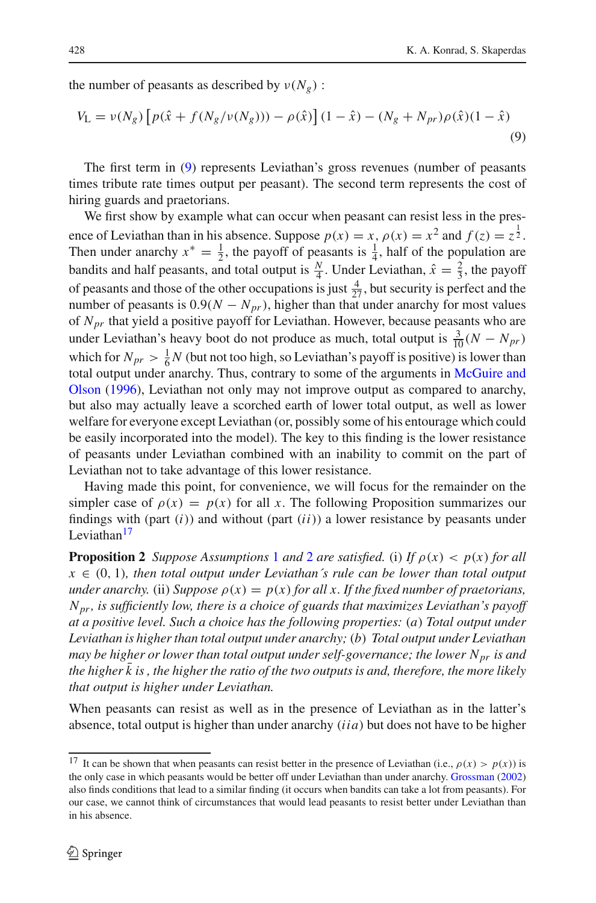<span id="page-11-0"></span>the number of peasants as described by  $v(N_e)$ :

$$
V_{\mathcal{L}} = \nu(N_g) \left[ p(\hat{x} + f(N_g/\nu(N_g))) - \rho(\hat{x}) \right] (1 - \hat{x}) - (N_g + N_{pr}) \rho(\hat{x}) (1 - \hat{x}) \tag{9}
$$

The first term in [\(9\)](#page-11-0) represents Leviathan's gross revenues (number of peasants times tribute rate times output per peasant). The second term represents the cost of hiring guards and praetorians.

We first show by example what can occur when peasant can resist less in the presence of Leviathan than in his absence. Suppose  $p(x) = x$ ,  $\rho(x) = x^2$  and  $f(z) = z^{\frac{1}{2}}$ . Then under anarchy  $x^* = \frac{1}{2}$ , the payoff of peasants is  $\frac{1}{4}$ , half of the population are bandits and half peasants, and total output is  $\frac{N}{4}$ . Under Leviathan,  $\hat{x} = \frac{2}{3}$ , the payoff of peasants and those of the other occupations is just  $\frac{4}{27}$ , but security is perfect and the number of peasants is  $0.9(N - N_{pr})$ , higher than that under anarchy for most values of  $N_{pr}$  that yield a positive payoff for Leviathan. However, because peasants who are under Leviathan's heavy boot do not produce as much, total output is  $\frac{3}{10}(N - N_{pr})$ which for  $N_{pr} > \frac{1}{6}N$  (but not too high, so Leviathan's payoff is positive) is lower than total [output](#page-25-10) [under](#page-25-10) [anarchy.](#page-25-10) [Thus,](#page-25-10) [contrary](#page-25-10) [to](#page-25-10) [some](#page-25-10) [of](#page-25-10) [the](#page-25-10) [arguments](#page-25-10) [in](#page-25-10) McGuire and Olson [\(1996\)](#page-25-10), Leviathan not only may not improve output as compared to anarchy, but also may actually leave a scorched earth of lower total output, as well as lower welfare for everyone except Leviathan (or, possibly some of his entourage which could be easily incorporated into the model). The key to this finding is the lower resistance of peasants under Leviathan combined with an inability to commit on the part of Leviathan not to take advantage of this lower resistance.

Having made this point, for convenience, we will focus for the remainder on the simpler case of  $\rho(x) = p(x)$  for all *x*. The following Proposition summarizes our findings with (part  $(i)$ ) and without (part  $(ii)$ ) a lower resistance by peasants under Leviathan $17$ 

**Proposition [2](#page-6-0)** *Suppose Assumptions* [1](#page-5-3) *and* 2 *are satisfied.* (i) If  $\rho(x) < p(x)$  for all  $x \in (0, 1)$ , then total output under Leviathan's rule can be lower than total output *under anarchy.* (ii) *Suppose*  $\rho(x) = p(x)$  *for all x. If the fixed number of praetorians, Npr, is sufficiently low, there is a choice of guards that maximizes Leviathan's payoff at a positive level. Such a choice has the following properties:* (*a*) *Total output under Leviathan is higher than total output under anarchy;*(*b*) *Total output under Leviathan may be higher or lower than total output under self-governance; the lower N<sub>pr</sub> <i>is and the higher k* is, the higher the ratio of the two outputs is and, therefore, the more likely *that output is higher under Leviathan.*

When peasants can resist as well as in the presence of Leviathan as in the latter's absence, total output is higher than under anarchy (*iia*) but does not have to be higher

<span id="page-11-1"></span><sup>&</sup>lt;sup>17</sup> It can be shown that when peasants can resist better in the presence of Leviathan (i.e.,  $\rho(x) > p(x)$ ) is the only case in which peasants would be better off under Leviathan than under anarchy. [Grossman](#page-25-24) [\(2002](#page-25-24)) also finds conditions that lead to a similar finding (it occurs when bandits can take a lot from peasants). For our case, we cannot think of circumstances that would lead peasants to resist better under Leviathan than in his absence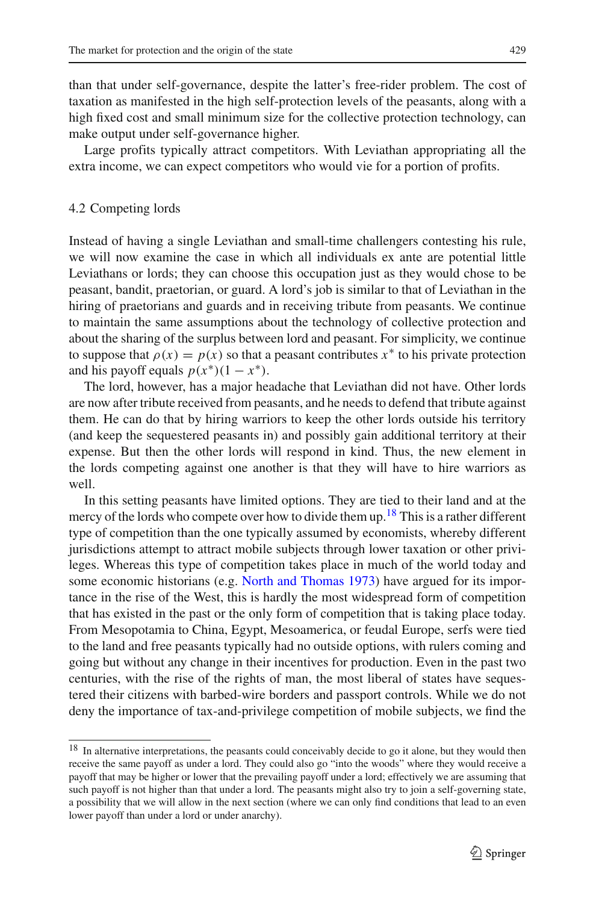than that under self-governance, despite the latter's free-rider problem. The cost of taxation as manifested in the high self-protection levels of the peasants, along with a high fixed cost and small minimum size for the collective protection technology, can make output under self-governance higher.

Large profits typically attract competitors. With Leviathan appropriating all the extra income, we can expect competitors who would vie for a portion of profits.

## 4.2 Competing lords

Instead of having a single Leviathan and small-time challengers contesting his rule, we will now examine the case in which all individuals ex ante are potential little Leviathans or lords; they can choose this occupation just as they would chose to be peasant, bandit, praetorian, or guard. A lord's job is similar to that of Leviathan in the hiring of praetorians and guards and in receiving tribute from peasants. We continue to maintain the same assumptions about the technology of collective protection and about the sharing of the surplus between lord and peasant. For simplicity, we continue to suppose that  $\rho(x) = p(x)$  so that a peasant contributes  $x^*$  to his private protection and his payoff equals  $p(x^*)(1 - x^*)$ .

The lord, however, has a major headache that Leviathan did not have. Other lords are now after tribute received from peasants, and he needs to defend that tribute against them. He can do that by hiring warriors to keep the other lords outside his territory (and keep the sequestered peasants in) and possibly gain additional territory at their expense. But then the other lords will respond in kind. Thus, the new element in the lords competing against one another is that they will have to hire warriors as well.

In this setting peasants have limited options. They are tied to their land and at the mercy of the lords who compete over how to divide them up.<sup>18</sup> This is a rather different type of competition than the one typically assumed by economists, whereby different jurisdictions attempt to attract mobile subjects through lower taxation or other privileges. Whereas this type of competition takes place in much of the world today and some economic historians (e.g. [North and Thomas 1973\)](#page-26-0) have argued for its importance in the rise of the West, this is hardly the most widespread form of competition that has existed in the past or the only form of competition that is taking place today. From Mesopotamia to China, Egypt, Mesoamerica, or feudal Europe, serfs were tied to the land and free peasants typically had no outside options, with rulers coming and going but without any change in their incentives for production. Even in the past two centuries, with the rise of the rights of man, the most liberal of states have sequestered their citizens with barbed-wire borders and passport controls. While we do not deny the importance of tax-and-privilege competition of mobile subjects, we find the

<span id="page-12-0"></span><sup>&</sup>lt;sup>18</sup> In alternative interpretations, the peasants could conceivably decide to go it alone, but they would then receive the same payoff as under a lord. They could also go "into the woods" where they would receive a payoff that may be higher or lower that the prevailing payoff under a lord; effectively we are assuming that such payoff is not higher than that under a lord. The peasants might also try to join a self-governing state, a possibility that we will allow in the next section (where we can only find conditions that lead to an even lower payoff than under a lord or under anarchy).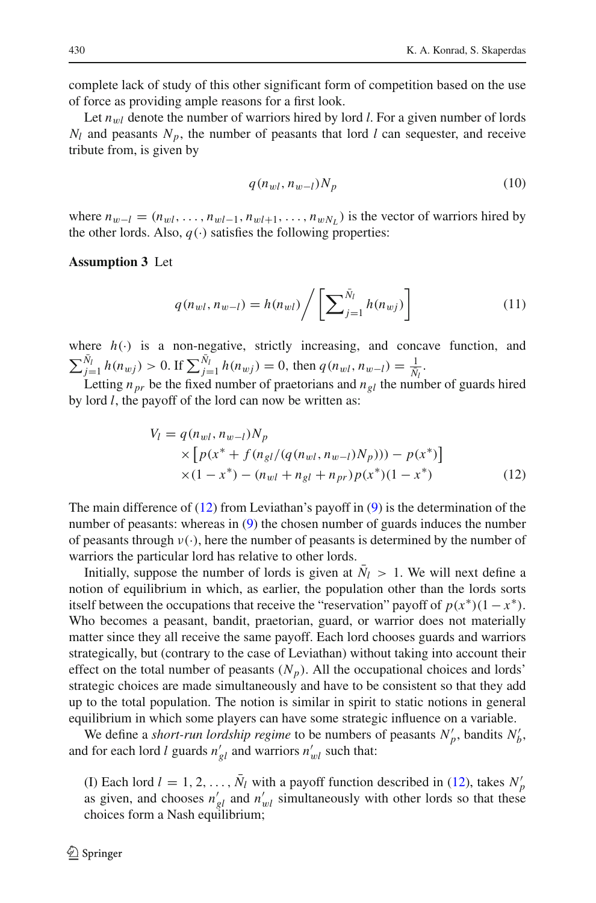complete lack of study of this other significant form of competition based on the use of force as providing ample reasons for a first look.

Let  $n_{wl}$  denote the number of warriors hired by lord *l*. For a given number of lords  $N_l$  and peasants  $N_p$ , the number of peasants that lord *l* can sequester, and receive tribute from, is given by

$$
q(n_{wl}, n_{w-l})N_p \tag{10}
$$

<span id="page-13-1"></span>where  $n_{w-1} = (n_{wl}, \ldots, n_{wl-1}, n_{wl+1}, \ldots, n_{wN})$  is the vector of warriors hired by the other lords. Also,  $q(\cdot)$  satisfies the following properties:

<span id="page-13-2"></span>**Assumption 3** Let

$$
q(n_{wl}, n_{w-l}) = h(n_{wl}) / \left[ \sum_{j=1}^{\bar{N}_l} h(n_{wj}) \right]
$$
 (11)

where  $h(\cdot)$  is a non-negative, strictly increasing, and concave function, and  $\sum_{j=1}^{\bar{N}_l} h(n_{wj}) > 0$ . If  $\sum_{j=1}^{\bar{N}_l} h(n_{wj}) = 0$ , then  $q(n_{wl}, n_{w-l}) = \frac{1}{\bar{N}_l}$ .

<span id="page-13-0"></span>Letting  $n_{pr}$  be the fixed number of praetorians and  $n_{gl}$  the number of guards hired by lord *l*, the payoff of the lord can now be written as:

$$
V_l = q(n_{wl}, n_{w-l})N_p
$$
  
\n
$$
\times [p(x^* + f(n_{gl}/(q(n_{wl}, n_{w-l})N_p))) - p(x^*)]
$$
  
\n
$$
\times (1 - x^*) - (n_{wl} + n_{gl} + n_{pr})p(x^*)(1 - x^*)
$$
\n(12)

The main difference of  $(12)$  from Leviathan's payoff in  $(9)$  is the determination of the number of peasants: whereas in [\(9\)](#page-11-0) the chosen number of guards induces the number of peasants through  $v(\cdot)$ , here the number of peasants is determined by the number of warriors the particular lord has relative to other lords.

Initially, suppose the number of lords is given at  $\bar{N}_l > 1$ . We will next define a notion of equilibrium in which, as earlier, the population other than the lords sorts itself between the occupations that receive the "reservation" payoff of  $p(x^*)(1 - x^*)$ . Who becomes a peasant, bandit, praetorian, guard, or warrior does not materially matter since they all receive the same payoff. Each lord chooses guards and warriors strategically, but (contrary to the case of Leviathan) without taking into account their effect on the total number of peasants  $(N_p)$ . All the occupational choices and lords' strategic choices are made simultaneously and have to be consistent so that they add up to the total population. The notion is similar in spirit to static notions in general equilibrium in which some players can have some strategic influence on a variable.

We define a *short-run lordship regime* to be numbers of peasants  $N'_p$ , bandits  $N'_b$ , and for each lord *l* guards  $n'_{gl}$  and warriors  $n'_{wl}$  such that:

(I) Each lord  $l = 1, 2, ..., \bar{N}_l$  with a payoff function described in [\(12\)](#page-13-0), takes  $N_p'$ as given, and chooses  $n'_{gl}$  and  $n'_{wl}$  simultaneously with other lords so that these choices form a Nash equilibrium;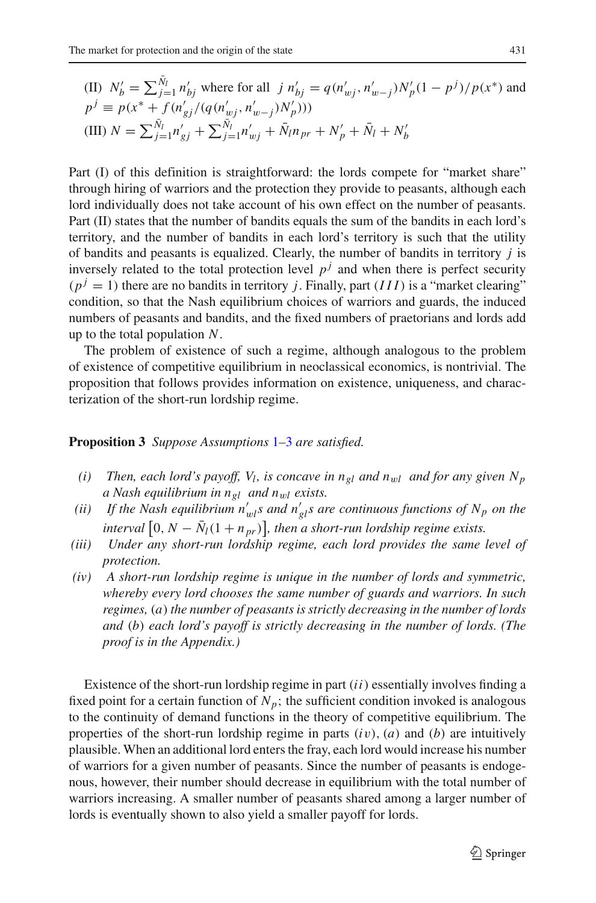*N*¯*l*

(II) 
$$
N'_b = \sum_{j=1}^{N_l} n'_{bj}
$$
 where for all  $j n'_{bj} = q(n'_{wj}, n'_{w-j})N'_p(1 - p^j)/p(x^*)$  and  
\n $p^j \equiv p(x^* + f(n'_{gj}/(q(n'_{wj}, n'_{w-j})N'_p)))$   
\n(III)  $N = \sum_{j=1}^{\bar{N}_l} n'_{gj} + \sum_{j=1}^{\bar{N}_l} n'_{wj} + \bar{N}_l n_{pr} + N'_p + \bar{N}_l + N'_b$ 

Part (I) of this definition is straightforward: the lords compete for "market share" through hiring of warriors and the protection they provide to peasants, although each lord individually does not take account of his own effect on the number of peasants. Part (II) states that the number of bandits equals the sum of the bandits in each lord's territory, and the number of bandits in each lord's territory is such that the utility of bandits and peasants is equalized. Clearly, the number of bandits in territory *j* is inversely related to the total protection level  $p^j$  and when there is perfect security  $(p^{j} = 1)$  there are no bandits in territory *j*. Finally, part (*III*) is a "market clearing" condition, so that the Nash equilibrium choices of warriors and guards, the induced numbers of peasants and bandits, and the fixed numbers of praetorians and lords add up to the total population *N*.

The problem of existence of such a regime, although analogous to the problem of existence of competitive equilibrium in neoclassical economics, is nontrivial. The proposition that follows provides information on existence, uniqueness, and characterization of the short-run lordship regime.

## <span id="page-14-0"></span>**Proposition 3** *Suppose Assumptions* [1](#page-5-3)*–*[3](#page-13-1) *are satisfied.*

- *(i)* Then, each lord's payoff,  $V_l$ , is concave in  $n_{gl}$  and  $n_{wl}$  and for any given  $N_p$ *a Nash equilibrium in ngl and n*w*<sup>l</sup> exists.*
- *(ii)* If the Nash equilibrium  $n'_{wl}s$  and  $n'_{gl}s$  are continuous functions of  $N_p$  on the *interval*  $[0, N - \overline{N}_l(1 + n_{pr})]$ , then a short-run lordship regime exists.
- *(iii) Under any short-run lordship regime, each lord provides the same level of protection.*
- *(iv) A short-run lordship regime is unique in the number of lords and symmetric, whereby every lord chooses the same number of guards and warriors. In such regimes,* (*a*) *the number of peasants is strictly decreasing in the number of lords and* (*b*) *each lord's payoff is strictly decreasing in the number of lords. (The proof is in the Appendix.)*

Existence of the short-run lordship regime in part (*ii*) essentially involves finding a fixed point for a certain function of  $N_p$ ; the sufficient condition invoked is analogous to the continuity of demand functions in the theory of competitive equilibrium. The properties of the short-run lordship regime in parts (*i*v), (*a*) and (*b*) are intuitively plausible. When an additional lord enters the fray, each lord would increase his number of warriors for a given number of peasants. Since the number of peasants is endogenous, however, their number should decrease in equilibrium with the total number of warriors increasing. A smaller number of peasants shared among a larger number of lords is eventually shown to also yield a smaller payoff for lords.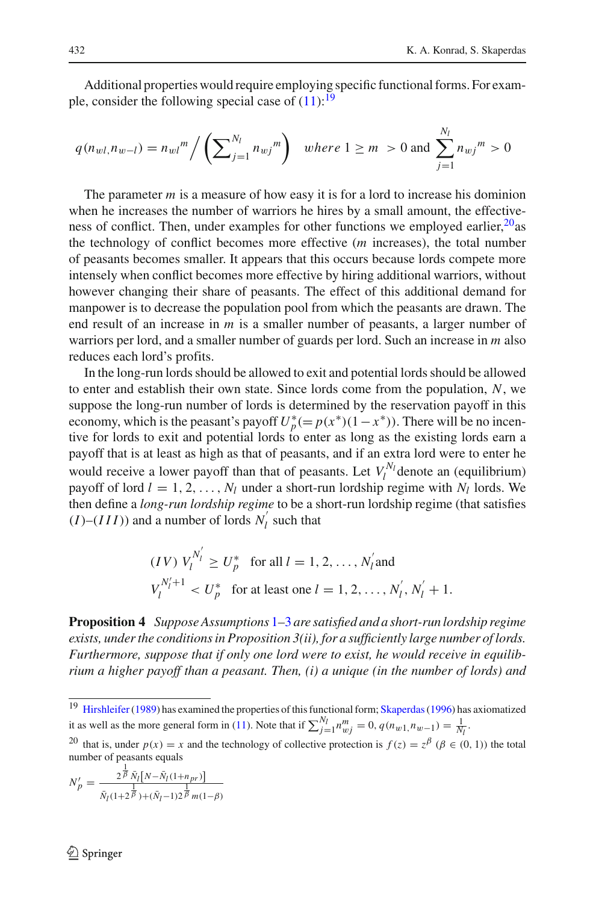Additional properties would require employing specific functional forms. For example, consider the following special case of  $(11)$ :<sup>[19](#page-15-0)</sup>

$$
q(n_{wl}, n_{w-l}) = n_{wl}^{m} / \left(\sum_{j=1}^{N_l} n_{wj}^{m}\right) \text{ where } 1 \ge m > 0 \text{ and } \sum_{j=1}^{N_l} n_{wj}^{m} > 0
$$

The parameter *m* is a measure of how easy it is for a lord to increase his dominion when he increases the number of warriors he hires by a small amount, the effectiveness of conflict. Then, under examples for other functions we employed earlier,  $^{20}$  as the technology of conflict becomes more effective (*m* increases), the total number of peasants becomes smaller. It appears that this occurs because lords compete more intensely when conflict becomes more effective by hiring additional warriors, without however changing their share of peasants. The effect of this additional demand for manpower is to decrease the population pool from which the peasants are drawn. The end result of an increase in *m* is a smaller number of peasants, a larger number of warriors per lord, and a smaller number of guards per lord. Such an increase in *m* also reduces each lord's profits.

In the long-run lords should be allowed to exit and potential lords should be allowed to enter and establish their own state. Since lords come from the population, *N*, we suppose the long-run number of lords is determined by the reservation payoff in this economy, which is the peasant's payoff  $U_p^* (= p(x^*)(1 - x^*))$ . There will be no incentive for lords to exit and potential lords to enter as long as the existing lords earn a payoff that is at least as high as that of peasants, and if an extra lord were to enter he would receive a lower payoff than that of peasants. Let  $V_l^{N_l}$  denote an (equilibrium) payoff of lord  $l = 1, 2, ..., N_l$  under a short-run lordship regime with  $N_l$  lords. We then define a *long-run lordship regime* to be a short-run lordship regime (that satisfies  $(I)$ – $(III)$ ) and a number of lords  $N_l'$  such that

$$
(IV) V_l^{N'_l} \ge U_p^* \text{ for all } l = 1, 2, ..., N'_l \text{ and}
$$
  

$$
V_l^{N'_l+1} < U_p^* \text{ for at least one } l = 1, 2, ..., N'_l, N'_l + 1.
$$

<span id="page-15-2"></span>**Proposition 4** *Suppose Assumptions* [1](#page-5-3)*–*[3](#page-13-1) *are satisfied and a short-run lordship regime exists, under the conditions in Proposition 3(ii), for a sufficiently large number of lords. Furthermore, suppose that if only one lord were to exist, he would receive in equilibrium a higher payoff than a peasant. Then, (i) a unique (in the number of lords) and*

$$
N'_{p} = \frac{2^{\frac{1}{\beta}} \bar{N}_{l} [N - \bar{N}_{l}(1 + n_{pr})]}{\bar{N}_{l}(1 + 2^{\frac{1}{\beta}}) + (\bar{N}_{l} - 1)2^{\frac{1}{\beta}} m(1 - \beta)}
$$

<span id="page-15-0"></span><sup>&</sup>lt;sup>19</sup> Hirshleifer (1989) has examined the properties of this functional form; Skaperdas (1996) has axiomatized it as well as the more general form in [\(11\)](#page-13-2). Note that if  $\sum_{j=1}^{N_l} n_{mj}^m = 0$ ,  $q(n_{w1}, n_{w-1}) = \frac{1}{N_l}$ .

<span id="page-15-1"></span><sup>&</sup>lt;sup>20</sup> that is, under  $p(x) = x$  and the technology of collective protection is  $f(z) = z^{\beta}$  ( $\beta \in (0, 1)$ ) the total number of peasants equals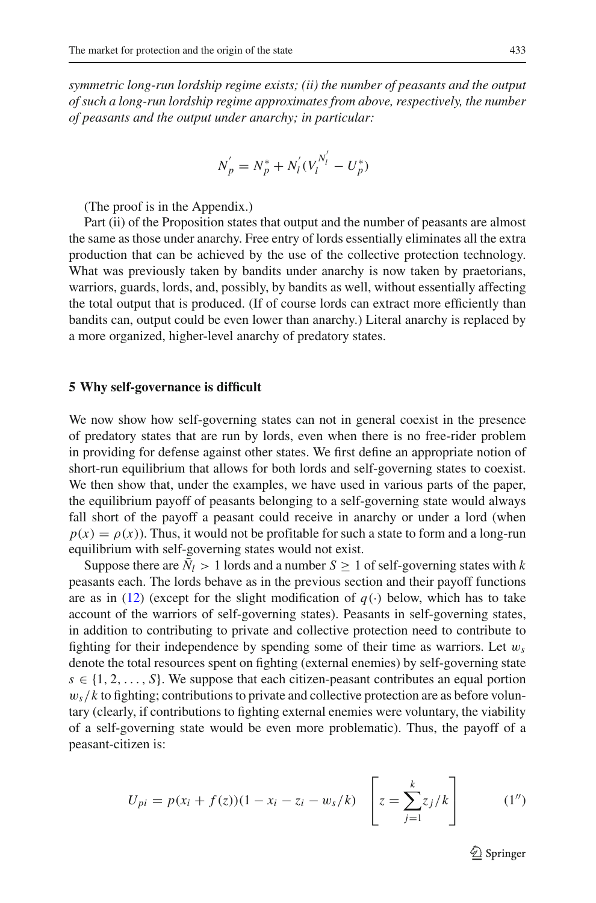*symmetric long-run lordship regime exists; (ii) the number of peasants and the output of such a long-run lordship regime approximates from above, respectively, the number of peasants and the output under anarchy; in particular:*

$$
N_{p}^{'} = N_{p}^{*} + N_{l}^{'} (V_{l}^{N_{l}^{'}} - U_{p}^{*})
$$

(The proof is in the Appendix.)

Part (ii) of the Proposition states that output and the number of peasants are almost the same as those under anarchy. Free entry of lords essentially eliminates all the extra production that can be achieved by the use of the collective protection technology. What was previously taken by bandits under anarchy is now taken by praetorians, warriors, guards, lords, and, possibly, by bandits as well, without essentially affecting the total output that is produced. (If of course lords can extract more efficiently than bandits can, output could be even lower than anarchy.) Literal anarchy is replaced by a more organized, higher-level anarchy of predatory states.

#### **5 Why self-governance is difficult**

We now show how self-governing states can not in general coexist in the presence of predatory states that are run by lords, even when there is no free-rider problem in providing for defense against other states. We first define an appropriate notion of short-run equilibrium that allows for both lords and self-governing states to coexist. We then show that, under the examples, we have used in various parts of the paper, the equilibrium payoff of peasants belonging to a self-governing state would always fall short of the payoff a peasant could receive in anarchy or under a lord (when  $p(x) = \rho(x)$ . Thus, it would not be profitable for such a state to form and a long-run equilibrium with self-governing states would not exist.

Suppose there are  $N_l > 1$  lords and a number  $S \ge 1$  of self-governing states with *k* peasants each. The lords behave as in the previous section and their payoff functions are as in [\(12\)](#page-13-0) (except for the slight modification of  $q(\cdot)$  below, which has to take account of the warriors of self-governing states). Peasants in self-governing states, in addition to contributing to private and collective protection need to contribute to fighting for their independence by spending some of their time as warriors. Let w*s* denote the total resources spent on fighting (external enemies) by self-governing state  $s \in \{1, 2, \ldots, S\}$ . We suppose that each citizen-peasant contributes an equal portion  $w_s/k$  to fighting; contributions to private and collective protection are as before voluntary (clearly, if contributions to fighting external enemies were voluntary, the viability of a self-governing state would be even more problematic). Thus, the payoff of a peasant-citizen is:

<span id="page-16-0"></span>
$$
U_{pi} = p(x_i + f(z))(1 - x_i - z_i - w_s/k) \quad \left[ z = \sum_{j=1}^{k} z_j / k \right] \tag{1''}
$$

 $\mathcal{L}$  Springer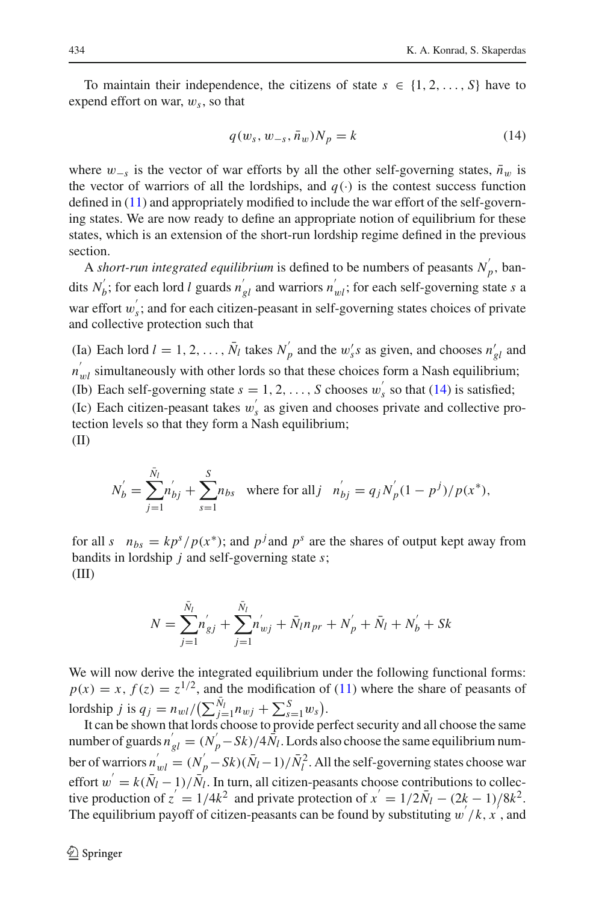To maintain their independence, the citizens of state  $s \in \{1, 2, \ldots, S\}$  have to expend effort on war, w*s*, so that

$$
q(w_s, w_{-s}, \bar{n}_w)N_p = k \tag{14}
$$

<span id="page-17-0"></span>where  $w_{-s}$  is the vector of war efforts by all the other self-governing states,  $\bar{n}_w$  is the vector of warriors of all the lordships, and  $q(\cdot)$  is the contest success function defined in [\(11\)](#page-13-2) and appropriately modified to include the war effort of the self-governing states. We are now ready to define an appropriate notion of equilibrium for these states, which is an extension of the short-run lordship regime defined in the previous section.

A *short-run integrated equilibrium* is defined to be numbers of peasants  $N_p^{'}$ , bandits  $N_b^{'}$ ; for each lord *l* guards  $n_{gl}^{'}$  and warriors  $n_a^{'}$  $w_l$ ; for each self-governing state *s* a war effort  $w'_s$ ; and for each citizen-peasant in self-governing states choices of private and collective protection such that

(Ia) Each lord  $l = 1, 2, ..., \bar{N}_l$  takes  $N'_p$  and the  $w'_s s$  as given, and chooses  $n'_{gl}$  and  $n'_{wl}$  simultaneously with other lords so that these choices form a Nash equilibrium; (Ib) Each self-governing state  $s = 1, 2, ..., S$  chooses  $w'_{s}$  so that [\(14\)](#page-17-0) is satisfied; (Ic) Each citizen-peasant takes  $w'_{s}$  as given and chooses private and collective protection levels so that they form a Nash equilibrium; (II)

$$
N'_{b} = \sum_{j=1}^{\bar{N}_{l}} n'_{bj} + \sum_{s=1}^{S} n_{bs} \quad \text{where for all } j \quad n'_{bj} = q_{j} N'_{p} (1 - p^{j}) / p(x^{*}),
$$

for all  $s \thinspace n_{bs} = \frac{k p^s}{p(x^*)}$ ; and  $p^j$  and  $p^s$  are the shares of output kept away from bandits in lordship *j* and self-governing state *s*; (III)

$$
N = \sum_{j=1}^{\bar{N}_l} n'_{gj} + \sum_{j=1}^{\bar{N}_l} n'_{wj} + \bar{N}_l n_{pr} + N'_p + \bar{N}_l + N'_b + Sk
$$

We will now derive the integrated equilibrium under the following functional forms:  $p(x) = x$ ,  $f(z) = z^{1/2}$ , and the modification of [\(11\)](#page-13-2) where the share of peasants of lordship *j* is  $q_j = n_{wl}/(\sum_{j=1}^{\bar{N}_l} n_{wj} + \sum_{s=1}^S w_s)$ .

It can be shown that lords choose to provide perfect security and all choose the same number of guards  $n'_{gl} = (N'_p - Sk) / 4\overline{N}_l$ . Lords also choose the same equilibrium number of warriors  $n'_{wl} = (N'_p - Sk)(\bar{N}_l - 1)/\bar{N}_l^2$ . All the self-governing states choose war effort  $w^{'} = k(\bar{N}_l - 1)/\bar{N}_l$ . In turn, all citizen-peasants choose contributions to collective production of  $z' = 1/4k^2$  and private protection of  $x' = 1/2\overline{N}_l - (2k - 1)/8k^2$ . The equilibrium payoff of citizen-peasants can be found by substituting  $w'/k$ ,  $x'$ , and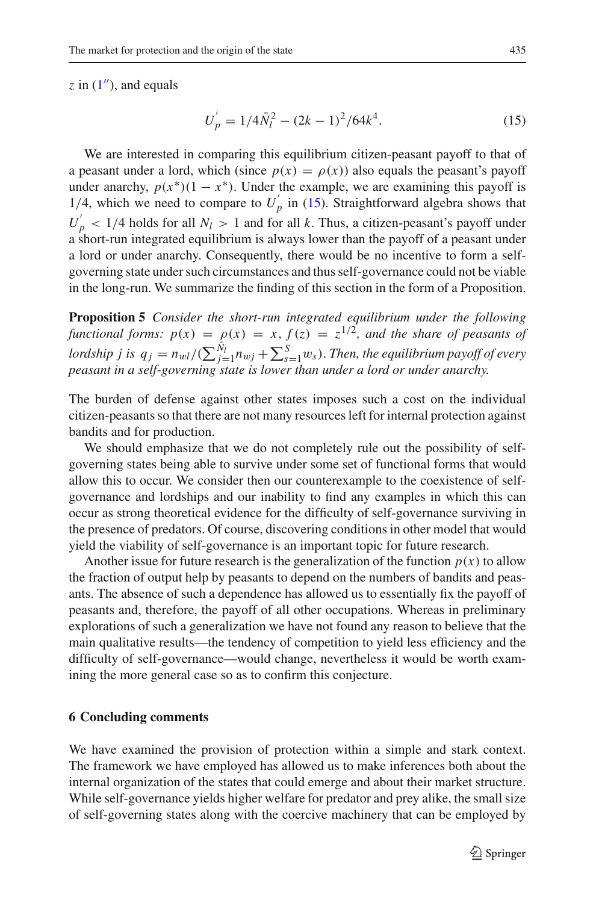<span id="page-18-0"></span> $\overline{z}$  in  $(1'')$  $(1'')$ , and equals

$$
U_p' = 1/4\bar{N}_l^2 - (2k - 1)^2/64k^4.
$$
 (15)

We are interested in comparing this equilibrium citizen-peasant payoff to that of a peasant under a lord, which (since  $p(x) = \rho(x)$ ) also equals the peasant's payoff under anarchy,  $p(x^*)(1 - x^*)$ . Under the example, we are examining this payoff is 1/4, which we need to compare to  $U_p'$  in [\(15\)](#page-18-0). Straightforward algebra shows that  $U_p'$  < 1/4 holds for all *N<sub>l</sub>* > 1 and for all *k*. Thus, a citizen-peasant's payoff under a short-run integrated equilibrium is always lower than the payoff of a peasant under a lord or under anarchy. Consequently, there would be no incentive to form a selfgoverning state under such circumstances and thus self-governance could not be viable in the long-run. We summarize the finding of this section in the form of a Proposition.

**Proposition 5** *Consider the short-run integrated equilibrium under the following functional forms:*  $p(x) = \rho(x) = x$ ,  $f(z) = z^{1/2}$ , and the share of peasants of *lordship j is*  $q_j = n_{wl}/(\sum_{j=1}^{\bar{N}_l} n_{wj} + \sum_{s=1}^S w_s)$ *. Then, the equilibrium payoff of every peasant in a self-governing state is lower than under a lord or under anarchy.*

The burden of defense against other states imposes such a cost on the individual citizen-peasants so that there are not many resources left for internal protection against bandits and for production.

We should emphasize that we do not completely rule out the possibility of selfgoverning states being able to survive under some set of functional forms that would allow this to occur. We consider then our counterexample to the coexistence of selfgovernance and lordships and our inability to find any examples in which this can occur as strong theoretical evidence for the difficulty of self-governance surviving in the presence of predators. Of course, discovering conditions in other model that would yield the viability of self-governance is an important topic for future research.

Another issue for future research is the generalization of the function  $p(x)$  to allow the fraction of output help by peasants to depend on the numbers of bandits and peasants. The absence of such a dependence has allowed us to essentially fix the payoff of peasants and, therefore, the payoff of all other occupations. Whereas in preliminary explorations of such a generalization we have not found any reason to believe that the main qualitative results—the tendency of competition to yield less efficiency and the difficulty of self-governance—would change, nevertheless it would be worth examining the more general case so as to confirm this conjecture.

## **6 Concluding comments**

We have examined the provision of protection within a simple and stark context. The framework we have employed has allowed us to make inferences both about the internal organization of the states that could emerge and about their market structure. While self-governance yields higher welfare for predator and prey alike, the small size of self-governing states along with the coercive machinery that can be employed by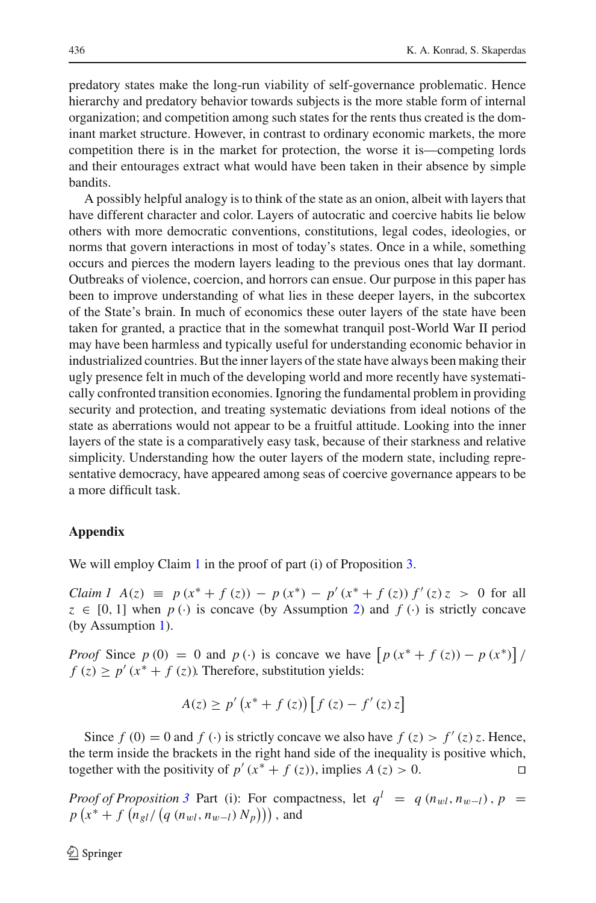predatory states make the long-run viability of self-governance problematic. Hence hierarchy and predatory behavior towards subjects is the more stable form of internal organization; and competition among such states for the rents thus created is the dominant market structure. However, in contrast to ordinary economic markets, the more competition there is in the market for protection, the worse it is—competing lords and their entourages extract what would have been taken in their absence by simple bandits.

A possibly helpful analogy is to think of the state as an onion, albeit with layers that have different character and color. Layers of autocratic and coercive habits lie below others with more democratic conventions, constitutions, legal codes, ideologies, or norms that govern interactions in most of today's states. Once in a while, something occurs and pierces the modern layers leading to the previous ones that lay dormant. Outbreaks of violence, coercion, and horrors can ensue. Our purpose in this paper has been to improve understanding of what lies in these deeper layers, in the subcortex of the State's brain. In much of economics these outer layers of the state have been taken for granted, a practice that in the somewhat tranquil post-World War II period may have been harmless and typically useful for understanding economic behavior in industrialized countries. But the inner layers of the state have always been making their ugly presence felt in much of the developing world and more recently have systematically confronted transition economies. Ignoring the fundamental problem in providing security and protection, and treating systematic deviations from ideal notions of the state as aberrations would not appear to be a fruitful attitude. Looking into the inner layers of the state is a comparatively easy task, because of their starkness and relative simplicity. Understanding how the outer layers of the modern state, including representative democracy, have appeared among seas of coercive governance appears to be a more difficult task.

#### **Appendix**

<span id="page-19-0"></span>We will employ Claim [1](#page-19-0) in the proof of part (i) of Proposition [3.](#page-14-0)

*Claim 1*  $A(z) \equiv p(x^* + f(z)) - p(x^*) - p'(x^* + f(z)) f'(z) z > 0$  for all  $z \in [0, 1]$  when  $p(\cdot)$  is concave (by Assumption [2\)](#page-6-0) and  $f(\cdot)$  is strictly concave (by Assumption [1\)](#page-5-3).

*Proof* Since  $p(0) = 0$  and  $p(·)$  is concave we have  $\left[ p(x^* + f(z)) - p(x^*) \right]$  $f(z) \geq p'(x^* + f(z))$ . Therefore, substitution yields:

$$
A(z) \ge p' (x^* + f(z)) [f(z) - f'(z) z]
$$

Since  $f(0) = 0$  and  $f(\cdot)$  is strictly concave we also have  $f(z) > f'(z)z$ . Hence, the term inside the brackets in the right hand side of the inequality is positive which, together with the positivity of  $p'(x^* + f(z))$ , implies  $A(z) > 0$ .  $\Box$ 

*Proof of Proposition* [3](#page-14-0) Part (i): For compactness, let  $q^l = q(n_{wl}, n_{w-l}), p =$  $p\left(x^* + f\left(n_{gl}/\left(q\left(n_{wl}, n_{w-l}\right)N_p\right)\right)\right)$  , and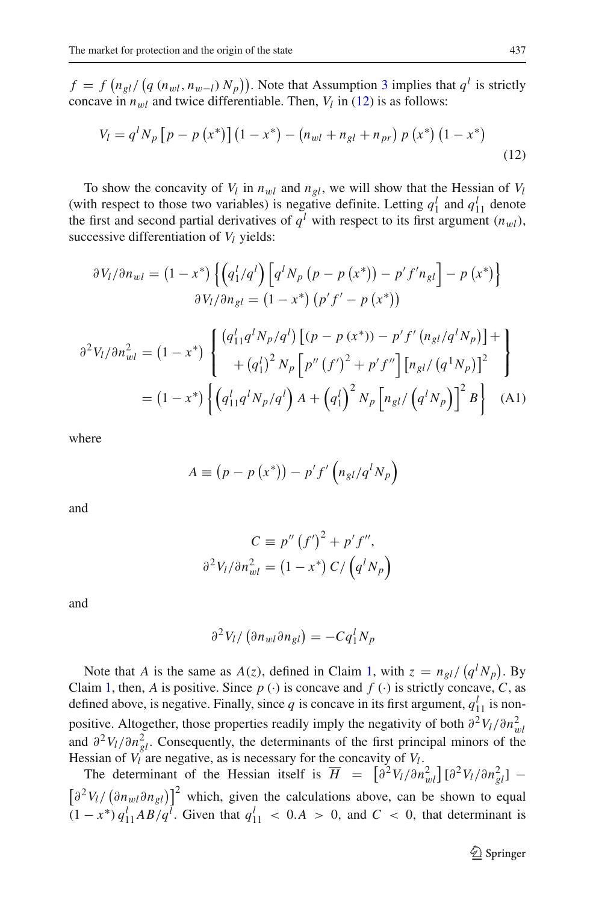$f = f\left(n_{gl}/\left(q\left(n_{wl}, n_{w-l}\right) N_p\right)\right)$ . Note that Assumption [3](#page-13-1) implies that  $q^l$  is strictly concave in  $n_{wl}$  and twice differentiable. Then,  $V_l$  in [\(12\)](#page-13-0) is as follows:

$$
V_{l} = q^{l} N_{p} \left[ p - p \left( x^* \right) \right] \left( 1 - x^* \right) - \left( n_{wl} + n_{gl} + n_{pr} \right) p \left( x^* \right) \left( 1 - x^* \right) \tag{12}
$$

To show the concavity of  $V_l$  in  $n_{wl}$  and  $n_{gl}$ , we will show that the Hessian of  $V_l$ (with respect to those two variables) is negative definite. Letting  $q_1^l$  and  $q_{11}^l$  denote the first and second partial derivatives of  $q^l$  with respect to its first argument  $(n_{wl})$ , successive differentiation of  $V_l$  yields:

$$
\partial V_l / \partial n_{wl} = (1 - x^*) \left\{ \left( q_1^l / q^l \right) \left[ q^l N_p \left( p - p \left( x^* \right) \right) - p' f' n_{gl} \right] - p \left( x^* \right) \right\}
$$

$$
\partial V_l / \partial n_{gl} = (1 - x^*) \left( p' f' - p \left( x^* \right) \right)
$$

$$
\partial^2 V_l / \partial n_{wl}^2 = (1 - x^*) \left\{ \left( q_{11}^l q^l N_p / q^l \right) \left[ (p - p \left( x^* \right)) - p' f' \left( n_{gl} / q^l N_p \right) \right] + (q_1^l)^2 N_p \left[ p'' \left( f' \right)^2 + p' f'' \right] \left[ n_{gl} / \left( q^1 N_p \right) \right]^2 \right\}
$$

$$
= (1 - x^*) \left\{ \left( q_{11}^l q^l N_p / q^l \right) A + \left( q_1^l \right)^2 N_p \left[ n_{gl} / \left( q^l N_p \right) \right]^2 B \right\} \quad \text{(A1)}
$$

where

$$
A \equiv (p - p(x^*)) - p'f'\left(n_{gl}/q^lN_p\right)
$$

and

$$
C \equiv p'' (f')^2 + p' f'',
$$

$$
\partial^2 V_l / \partial n_{wl}^2 = (1 - x^*) C / (q^l N_p)
$$

and

$$
\partial^2 V_l / (\partial n_{wl} \partial n_{gl}) = -C q_1^l N_p
$$

Note that *A* is the same as  $A(z)$ , defined in Claim [1,](#page-19-0) with  $z = n_{gl} / (q^l N_p)$ . By Claim [1,](#page-19-0) then, *A* is positive. Since  $p(\cdot)$  is concave and  $f(\cdot)$  is strictly concave, *C*, as defined above, is negative. Finally, since  $q$  is concave in its first argument,  $q_{11}^l$  is nonpositive. Altogether, those properties readily imply the negativity of both  $\partial^2 V_l / \partial n_w^2$ and  $\partial^2 V_l / \partial n_{gl}^2$ . Consequently, the determinants of the first principal minors of the Hessian of  $V_l$  are negative, as is necessary for the concavity of  $V_l$ .

The determinant of the Hessian itself is  $\overline{H} = \left[ \frac{\partial^2 V_l}{\partial n_{wl}^2} \right] \left[ \frac{\partial^2 V_l}{\partial n_{gl}^2} \right] \left[\partial^2 V_l / (\partial n_{wl} \partial n_{gl})\right]^2$  which, given the calculations above, can be shown to equal  $(1 - x^*) q_{11}^l AB/q^l$ . Given that  $q_{11}^l < 0.A > 0$ , and  $C < 0$ , that determinant is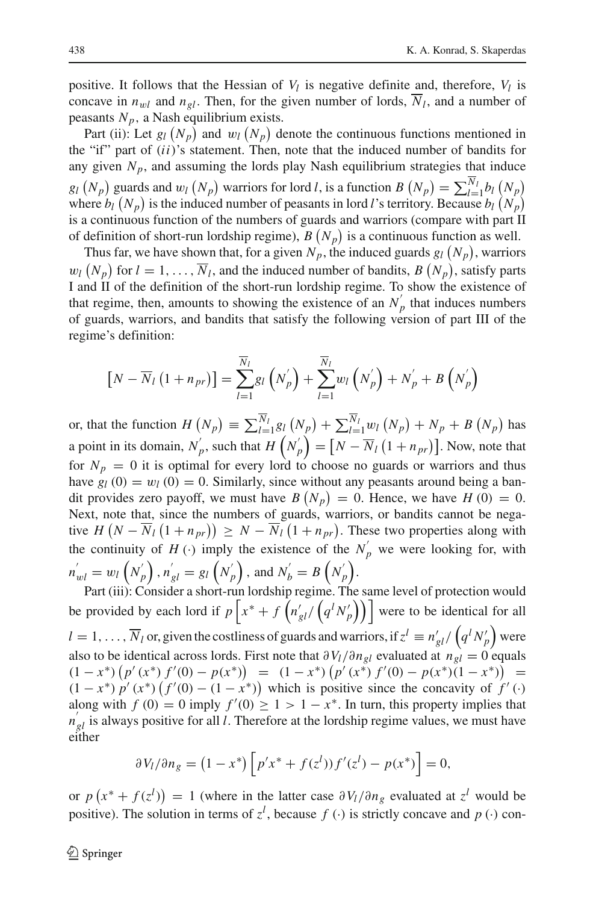positive. It follows that the Hessian of  $V_l$  is negative definite and, therefore,  $V_l$  is concave in  $n_{wl}$  and  $n_{gl}$ . Then, for the given number of lords,  $\overline{N}_l$ , and a number of peasants  $N_p$ , a Nash equilibrium exists.

Part (ii): Let  $g_l(N_p)$  and  $w_l(N_p)$  denote the continuous functions mentioned in the "if" part of (*ii*)'s statement. Then, note that the induced number of bandits for any given  $N_p$ , and assuming the lords play Nash equilibrium strategies that induce  $g_l(N_p)$  guards and  $w_l(N_p)$  warriors for lord *l*, is a function  $B(N_p) = \sum_{l=1}^{N_l} b_l(N_p)$ where  $b_l$   $(N_p)$  is the induced number of peasants in lord *l*'s territory. Because  $b_l$   $(N_p)$ is a continuous function of the numbers of guards and warriors (compare with part II of definition of short-run lordship regime),  $B(N_p)$  is a continuous function as well.

Thus far, we have shown that, for a given  $N_p$ , the induced guards  $g_l$   $(N_p)$ , warriors  $w_l$  ( $N_p$ ) for  $l = 1, ..., N_l$ , and the induced number of bandits,  $B(N_p)$ , satisfy parts I and II of the definition of the short-run lordship regime. To show the existence of that regime, then, amounts to showing the existence of an  $N_p'$  that induces numbers of guards, warriors, and bandits that satisfy the following version of part III of the regime's definition:

$$
\left[N-\overline{N}_l\left(1+n_{pr}\right)\right]=\sum_{l=1}^{\overline{N}_l}g_l\left(N_p^{'}\right)+\sum_{l=1}^{\overline{N}_l}w_l\left(N_p^{'}\right)+N_p^{'}+B\left(N_p^{'}\right)
$$

or, that the function  $H(N_p) = \sum_{l=1}^{N_l} g_l(N_p) + \sum_{l=1}^{N_l} w_l(N_p) + N_p + B(N_p)$  has a point in its domain,  $N_p'$ , such that  $H\left(N_p'\right) = \left[N - \overline{N}_l\left(1 + n_{pr}\right)\right]$ . Now, note that for  $N_p = 0$  it is optimal for every lord to choose no guards or warriors and thus have  $g_l(0) = w_l(0) = 0$ . Similarly, since without any peasants around being a bandit provides zero payoff, we must have  $B(N_p) = 0$ . Hence, we have  $H(0) = 0$ . Next, note that, since the numbers of guards, warriors, or bandits cannot be negative  $H(N - N_l(1 + n_{pr})) \ge N - N_l(1 + n_{pr})$ . These two properties along with the continuity of  $H(\cdot)$  imply the existence of the  $N_p^{'}$  we were looking for, with  $n_{wl}' = w_l\left(N_p^{'}\right), n_{gl}' = g_l\left(N_p^{'}\right), \text{ and } N_b^{'} = B\left(N_p^{'}\right).$ 

Part (iii): Consider a short-run lordship regime. The same level of protection would be provided by each lord if  $p\left|x^* + f\left(n'_{gl}/\left(q^l N'_p\right)\right)\right|$  were to be identical for all  $l = 1, \ldots, \overline{N}_l$  or, given the costliness of guards and warriors, if  $z^l \equiv n'_{gl}/\left(q^l N'_p\right)$  were also to be identical across lords. First note that  $\partial V_l / \partial n_{gl}$  evaluated at  $n_{gl} = 0$  equals  $(1-x^*)\left(p'(x^*)f'(0)-p(x^*)\right) = (1-x^*)\left(p'(x^*)f'(0)-p(x^*)\right) = 0$  $(1 - x^*) p'(x^*) (f'(0) - (1 - x^*))$  which is positive since the concavity of  $f'(.)$ along with  $f(0) = 0$  imply  $f'(0) \ge 1 > 1 - x^*$ . In turn, this property implies that  $n'_{gl}$  is always positive for all *l*. Therefore at the lordship regime values, we must have either

$$
\frac{\partial V_l}{\partial n_g} = (1 - x^*) \left[ p' x^* + f(z^l) \right] f'(z^l) - p(x^*) \right] = 0,
$$

or  $p(x^* + f(z^l)) = 1$  (where in the latter case  $\partial V_l / \partial n_g$  evaluated at  $z^l$  would be positive). The solution in terms of  $z^l$ , because  $f(\cdot)$  is strictly concave and  $p(\cdot)$  con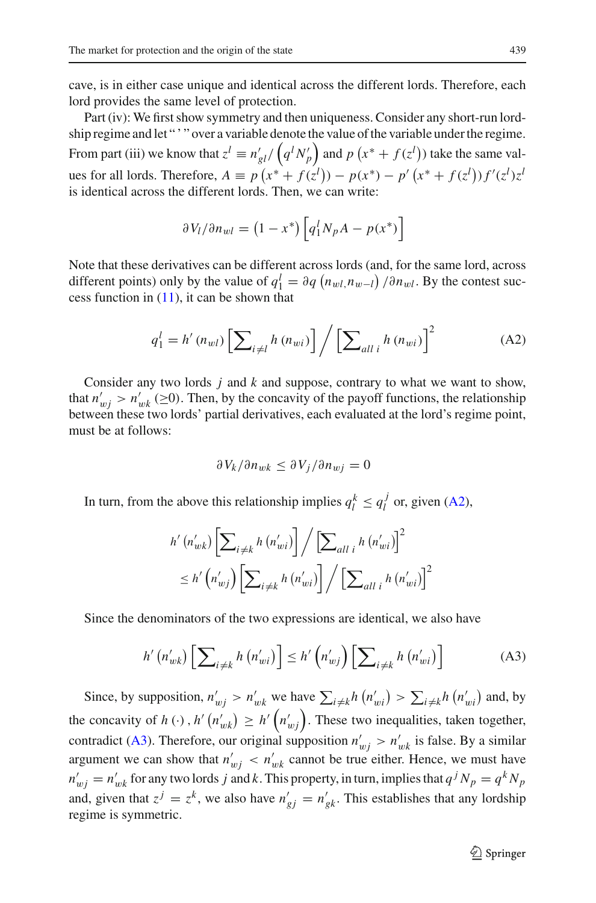cave, is in either case unique and identical across the different lords. Therefore, each lord provides the same level of protection.

Part (iv): We first show symmetry and then uniqueness. Consider any short-run lordship regime and let "'" over a variable denote the value of the variable under the regime. From part (iii) we know that  $z^l \equiv n'_{gl}/\left(q^l N'_p\right)$  and  $p\left(x^* + f(z^l)\right)$  take the same val**ues for all lords. Therefore,**  $A ≡ p(x^* + f(z^l)) − p(x^*) − p'(x^* + f(z^l))f'(z^l)z^l$ is identical across the different lords. Then, we can write:

$$
\partial V_l / \partial n_{wl} = (1 - x^*) \left[ q_1^l N_p A - p(x^*) \right]
$$

Note that these derivatives can be different across lords (and, for the same lord, across different points) only by the value of  $q_1^l = \partial q \left( n_{wl}, n_{w-l} \right) / \partial n_{wl}$ . By the contest success function in  $(11)$ , it can be shown that

$$
q_1^l = h'(n_{wl}) \left[ \sum_{i \neq l} h(n_{wi}) \right] / \left[ \sum_{all \ i} h(n_{wi}) \right]^2 \tag{A2}
$$

<span id="page-22-0"></span>Consider any two lords *j* and *k* and suppose, contrary to what we want to show, that  $n'_{wj} > n'_{wk}$  (≥0). Then, by the concavity of the payoff functions, the relationship between these two lords' partial derivatives, each evaluated at the lord's regime point, must be at follows:

$$
\partial V_k / \partial n_{wk} \le \partial V_j / \partial n_{wj} = 0
$$

In turn, from the above this relationship implies  $q_l^k \le q_l^j$  or, given [\(A2\)](#page-22-0),

$$
h' \left( n'_{wk} \right) \left[ \sum_{i \neq k} h \left( n'_{wi} \right) \right] / \left[ \sum_{all \ i} h \left( n'_{wi} \right) \right]^2
$$
  

$$
\leq h' \left( n'_{wj} \right) \left[ \sum_{i \neq k} h \left( n'_{wi} \right) \right] / \left[ \sum_{all \ i} h \left( n'_{wi} \right) \right]^2
$$

Since the denominators of the two expressions are identical, we also have

$$
h'\left(n'_{wk}\right)\left[\sum_{i\neq k} h\left(n'_{wi}\right)\right] \le h'\left(n'_{wj}\right)\left[\sum_{i\neq k} h\left(n'_{wi}\right)\right]
$$
 (A3)

<span id="page-22-1"></span>Since, by supposition,  $n'_{wj} > n'_{wk}$  we have  $\sum_{i \neq k} h(n'_{wi}) > \sum_{i \neq k} h(n'_{wi})$  and, by the concavity of *h* (·),  $h'(n'_{wk}) \ge h'(n'_{wj})$ . These two inequalities, taken together, contradict [\(A3\)](#page-22-1). Therefore, our original supposition  $n'_{wj} > n'_{wk}$  is false. By a similar argument we can show that  $n'_{wj} < n'_{wk}$  cannot be true either. Hence, we must have  $n'_{wj} = n'_{wk}$  for any two lords *j* and *k*. This property, in turn, implies that  $q^j N_p = q^k N_p$ and, given that  $z^j = z^k$ , we also have  $n'_{gj} = n'_{gk}$ . This establishes that any lordship regime is symmetric.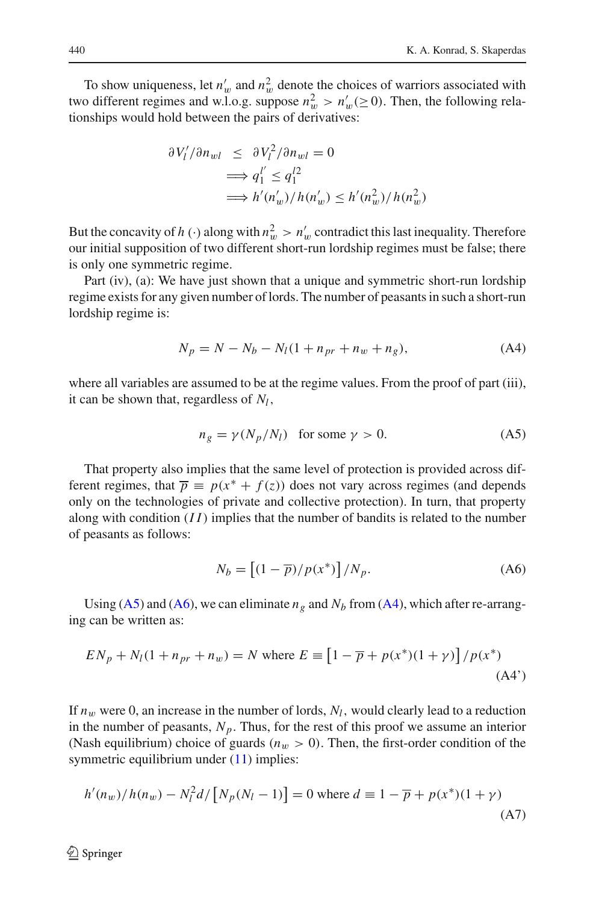To show uniqueness, let  $n'_w$  and  $n_w^2$  denote the choices of warriors associated with two different regimes and w.l.o.g. suppose  $n_w^2 > n_w' \ge 0$ ). Then, the following relationships would hold between the pairs of derivatives:

$$
\partial V'_l / \partial n_{wl} \leq \partial V_l^2 / \partial n_{wl} = 0
$$
  
\n
$$
\implies q_l^l' \leq q_l^{l2}
$$
  
\n
$$
\implies h'(n_w') / h(n_w') \leq h'(n_w^2) / h(n_w^2)
$$

But the concavity of *h* ( $\cdot$ ) along with  $n_w^2 > n_w'$  contradict this last inequality. Therefore our initial supposition of two different short-run lordship regimes must be false; there is only one symmetric regime.

Part (iv), (a): We have just shown that a unique and symmetric short-run lordship regime exists for any given number of lords. The number of peasants in such a short-run lordship regime is:

$$
N_p = N - N_b - N_l(1 + n_{pr} + n_w + n_g),
$$
 (A4)

<span id="page-23-2"></span>where all variables are assumed to be at the regime values. From the proof of part (iii), it can be shown that, regardless of *Nl*,

$$
n_g = \gamma (N_p / N_l) \quad \text{for some } \gamma > 0. \tag{A5}
$$

<span id="page-23-0"></span>That property also implies that the same level of protection is provided across different regimes, that  $\overline{p} = p(x^* + f(z))$  does not vary across regimes (and depends only on the technologies of private and collective protection). In turn, that property along with condition (*I I*) implies that the number of bandits is related to the number of peasants as follows:

$$
N_b = \left[ (1 - \overline{p})/p(x^*) \right] / N_p. \tag{A6}
$$

<span id="page-23-3"></span><span id="page-23-1"></span>Using [\(A5\)](#page-23-0) and [\(A6\)](#page-23-1), we can eliminate  $n_g$  and  $N_b$  from [\(A4\)](#page-23-2), which after re-arranging can be written as:

$$
EN_p + N_l(1 + n_{pr} + n_w) = N
$$
 where  $E \equiv [1 - \overline{p} + p(x^*)(1 + \gamma)] / p(x^*)$  (A4')

If  $n_w$  were 0, an increase in the number of lords,  $N_l$ , would clearly lead to a reduction in the number of peasants,  $N_p$ . Thus, for the rest of this proof we assume an interior (Nash equilibrium) choice of guards  $(n_w > 0)$ . Then, the first-order condition of the symmetric equilibrium under  $(11)$  implies:

$$
h'(n_w)/h(n_w) - N_l^2 d / [N_p(N_l - 1)] = 0 \text{ where } d \equiv 1 - \overline{p} + p(x^*)(1 + \gamma) \tag{A7}
$$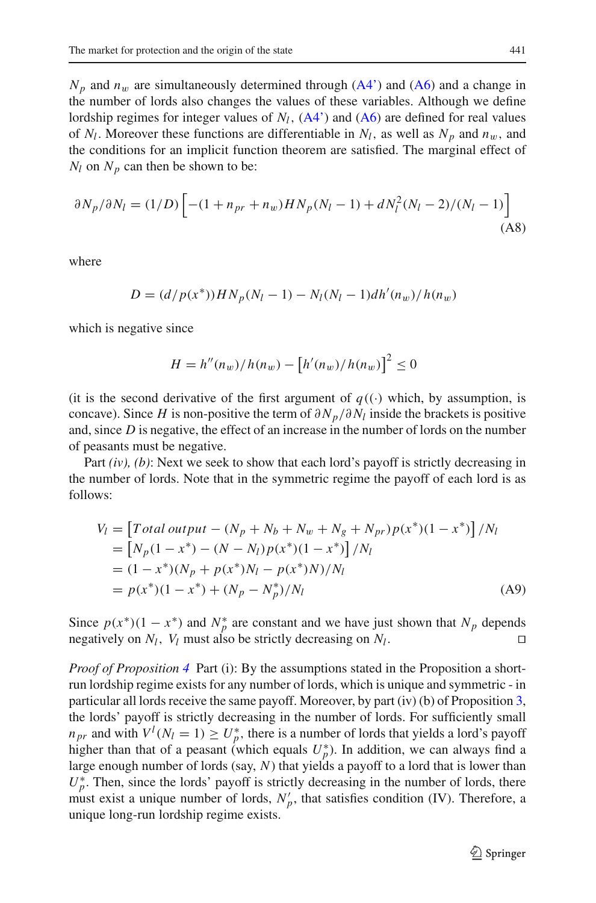$N_p$  and  $n_w$  are simultaneously determined through  $(A4<sup>2</sup>)$  and  $(A6)$  and a change in the number of lords also changes the values of these variables. Although we define lordship regimes for integer values of  $N_l$ ,  $(A4^{\prime})$  and  $(A6)$  are defined for real values of  $N_l$ . Moreover these functions are differentiable in  $N_l$ , as well as  $N_p$  and  $n_w$ , and the conditions for an implicit function theorem are satisfied. The marginal effect of  $N_l$  on  $N_p$  can then be shown to be:

$$
\partial N_p / \partial N_l = (1/D) \left[ -(1 + n_{pr} + n_w) H N_p (N_l - 1) + d N_l^2 (N_l - 2) / (N_l - 1) \right]
$$
\n(A8)

where

$$
D = (d/p(x^*))HN_p(N_l - 1) - N_l(N_l - 1)dh'(n_w)/h(n_w)
$$

which is negative since

$$
H = h''(n_w) / h(n_w) - [h'(n_w) / h(n_w)]^2 \le 0
$$

(it is the second derivative of the first argument of  $q((\cdot)$  which, by assumption, is concave). Since *H* is non-positive the term of  $\partial N_p/\partial N_l$  inside the brackets is positive and, since *D* is negative, the effect of an increase in the number of lords on the number of peasants must be negative.

<span id="page-24-0"></span>Part *(iv), (b)*: Next we seek to show that each lord's payoff is strictly decreasing in the number of lords. Note that in the symmetric regime the payoff of each lord is as follows:

$$
V_l = [Total output - (N_p + N_b + N_w + N_g + N_{pr})p(x^*)(1 - x^*)] / N_l
$$
  
=  $[N_p(1 - x^*) - (N - N_l)p(x^*)(1 - x^*)] / N_l$   
=  $(1 - x^*)(N_p + p(x^*)N_l - p(x^*)N) / N_l$   
=  $p(x^*)(1 - x^*) + (N_p - N_p^*) / N_l$  (A9)

Since  $p(x^*)(1 - x^*)$  and  $N_p^*$  are constant and we have just shown that  $N_p$  depends negatively on  $N_l$ ,  $V_l$  must also be strictly decreasing on  $N_l$ .

*Proof of Proposition* [4](#page-15-2) Part (i): By the assumptions stated in the Proposition a shortrun lordship regime exists for any number of lords, which is unique and symmetric - in particular all lords receive the same payoff. Moreover, by part (iv) (b) of Proposition [3,](#page-14-0) the lords' payoff is strictly decreasing in the number of lords. For sufficiently small *n*<sub>pr</sub> and with  $V^l(N_l = 1) \ge U_p^*$ , there is a number of lords that yields a lord's payoff higher than that of a peasant (which equals  $U_p^*$ ). In addition, we can always find a large enough number of lords (say, *N*) that yields a payoff to a lord that is lower than  $U_p^*$ . Then, since the lords' payoff is strictly decreasing in the number of lords, there must exist a unique number of lords,  $N_p'$ , that satisfies condition (IV). Therefore, a unique long-run lordship regime exists.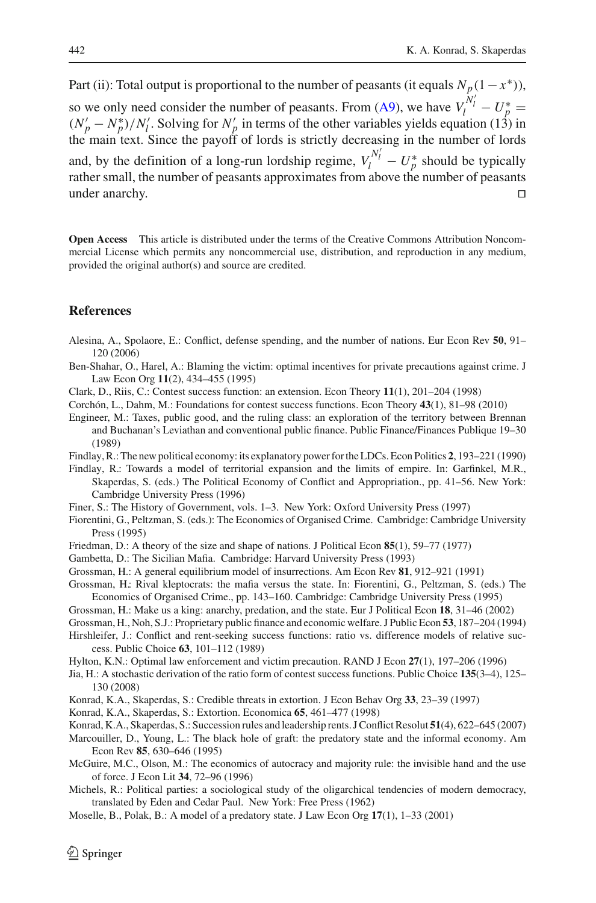Part (ii): Total output is proportional to the number of peasants (it equals  $N_p(1-x^*),$ so we only need consider the number of peasants. From [\(A9\)](#page-24-0), we have  $V_l^{N_l'} - U_p^* =$  $(N_p' - N_p^*)/N_l'$ . Solving for  $N_p'$  in terms of the other variables yields equation (13) in the main text. Since the payoff of lords is strictly decreasing in the number of lords and, by the definition of a long-run lordship regime,  $V_l^{N_l'} - U_p^*$  should be typically rather small, the number of peasants approximates from above the number of peasants under anarchy.  $\square$ 

**Open Access** This article is distributed under the terms of the Creative Commons Attribution Noncommercial License which permits any noncommercial use, distribution, and reproduction in any medium, provided the original author(s) and source are credited.

# **References**

- <span id="page-25-15"></span>Alesina, A., Spolaore, E.: Conflict, defense spending, and the number of nations. Eur Econ Rev **50**, 91– 120 (2006)
- <span id="page-25-21"></span>Ben-Shahar, O., Harel, A.: Blaming the victim: optimal incentives for private precautions against crime. J Law Econ Org **11**(2), 434–455 (1995)
- <span id="page-25-17"></span>Clark, D., Riis, C.: Contest success function: an extension. Econ Theory **11**(1), 201–204 (1998)
- <span id="page-25-19"></span>Corchón, L., Dahm, M.: Foundations for contest success functions. Econ Theory **43**(1), 81–98 (2010)
- <span id="page-25-6"></span>Engineer, M.: Taxes, public good, and the ruling class: an exploration of the territory between Brennan and Buchanan's Leviathan and conventional public finance. Public Finance/Finances Publique 19–30 (1989)
- <span id="page-25-7"></span>Findlay, R.: The new political economy: its explanatory power for the LDCs. Econ Politics **2**, 193–221 (1990)
- <span id="page-25-14"></span>Findlay, R.: Towards a model of territorial expansion and the limits of empire. In: Garfinkel, M.R., Skaperdas, S. (eds.) The Political Economy of Conflict and Appropriation., pp. 41–56. New York: Cambridge University Press (1996)
- <span id="page-25-0"></span>Finer, S.: The History of Government, vols. 1–3. New York: Oxford University Press (1997)
- <span id="page-25-3"></span>Fiorentini, G., Peltzman, S. (eds.): The Economics of Organised Crime. Cambridge: Cambridge University Press (1995)
- <span id="page-25-13"></span>Friedman, D.: A theory of the size and shape of nations. J Political Econ **85**(1), 59–77 (1977)
- <span id="page-25-1"></span>Gambetta, D.: The Sicilian Mafia. Cambridge: Harvard University Press (1993)
- Grossman, H.: A general equilibrium model of insurrections. Am Econ Rev **81**, 912–921 (1991)
- <span id="page-25-20"></span><span id="page-25-2"></span>Grossman, H.: Rival kleptocrats: the mafia versus the state. In: Fiorentini, G., Peltzman, S. (eds.) The Economics of Organised Crime., pp. 143–160. Cambridge: Cambridge University Press (1995)
- <span id="page-25-24"></span>Grossman, H.: Make us a king: anarchy, predation, and the state. Eur J Political Econ **18**, 31–46 (2002)
- <span id="page-25-8"></span>Grossman, H., Noh, S.J.: Proprietary public finance and economic welfare. J Public Econ **53**, 187–204 (1994)
- <span id="page-25-16"></span>Hirshleifer, J.: Conflict and rent-seeking success functions: ratio vs. difference models of relative success. Public Choice **63**, 101–112 (1989)
- <span id="page-25-22"></span>Hylton, K.N.: Optimal law enforcement and victim precaution. RAND J Econ **27**(1), 197–206 (1996)
- <span id="page-25-18"></span>Jia, H.: A stochastic derivation of the ratio form of contest success functions. Public Choice **135**(3–4), 125– 130 (2008)
- <span id="page-25-5"></span><span id="page-25-4"></span>Konrad, K.A., Skaperdas, S.: Credible threats in extortion. J Econ Behav Org **33**, 23–39 (1997)
- Konrad, K.A., Skaperdas, S.: Extortion. Economica **65**, 461–477 (1998)
- Konrad, K.A., Skaperdas, S.: Succession rules and leadership rents. J Conflict Resolut **51**(4), 622–645 (2007)
- <span id="page-25-23"></span><span id="page-25-9"></span>Marcouiller, D., Young, L.: The black hole of graft: the predatory state and the informal economy. Am Econ Rev **85**, 630–646 (1995)
- <span id="page-25-10"></span>McGuire, M.C., Olson, M.: The economics of autocracy and majority rule: the invisible hand and the use of force. J Econ Lit **34**, 72–96 (1996)
- <span id="page-25-12"></span>Michels, R.: Political parties: a sociological study of the oligarchical tendencies of modern democracy, translated by Eden and Cedar Paul. New York: Free Press (1962)
- <span id="page-25-11"></span>Moselle, B., Polak, B.: A model of a predatory state. J Law Econ Org **17**(1), 1–33 (2001)